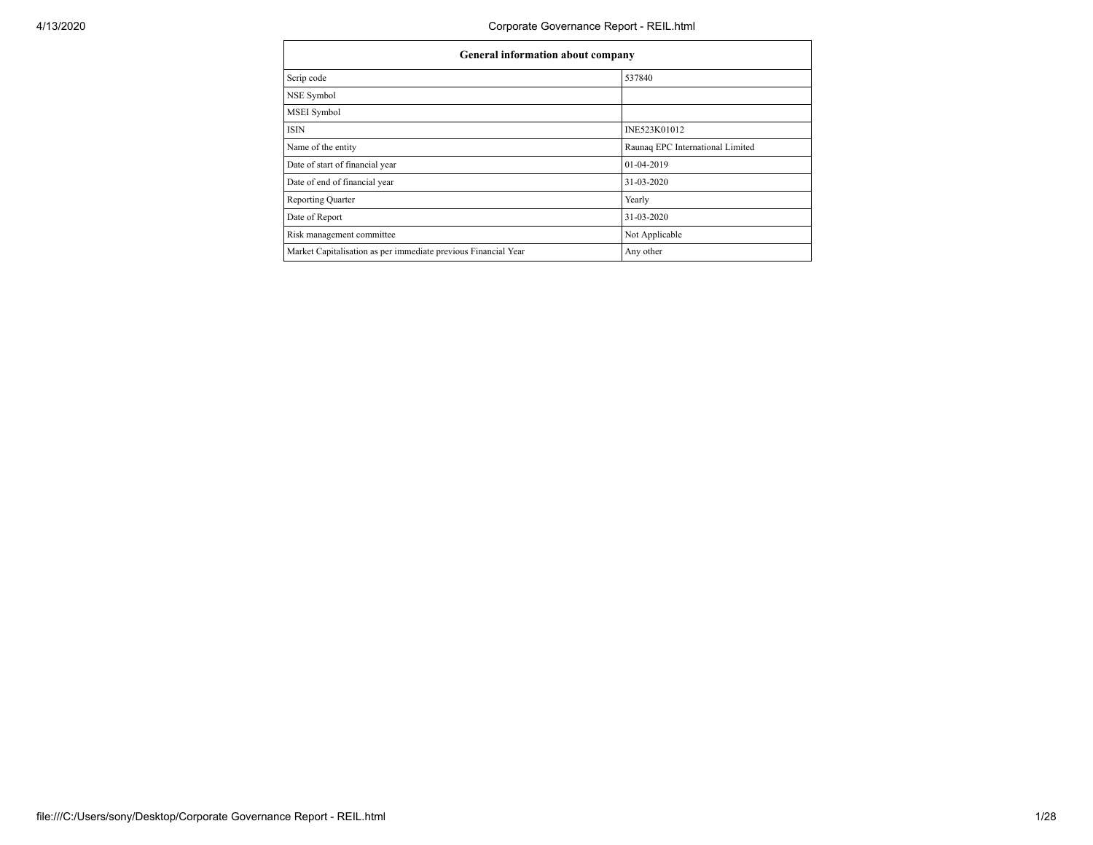| General information about company                              |                                  |
|----------------------------------------------------------------|----------------------------------|
| Scrip code                                                     | 537840                           |
| NSE Symbol                                                     |                                  |
| MSEI Symbol                                                    |                                  |
| <b>ISIN</b>                                                    | INE523K01012                     |
| Name of the entity                                             | Raunaq EPC International Limited |
| Date of start of financial year                                | 01-04-2019                       |
| Date of end of financial year                                  | 31-03-2020                       |
| <b>Reporting Quarter</b>                                       | Yearly                           |
| Date of Report                                                 | 31-03-2020                       |
| Risk management committee                                      | Not Applicable                   |
| Market Capitalisation as per immediate previous Financial Year | Any other                        |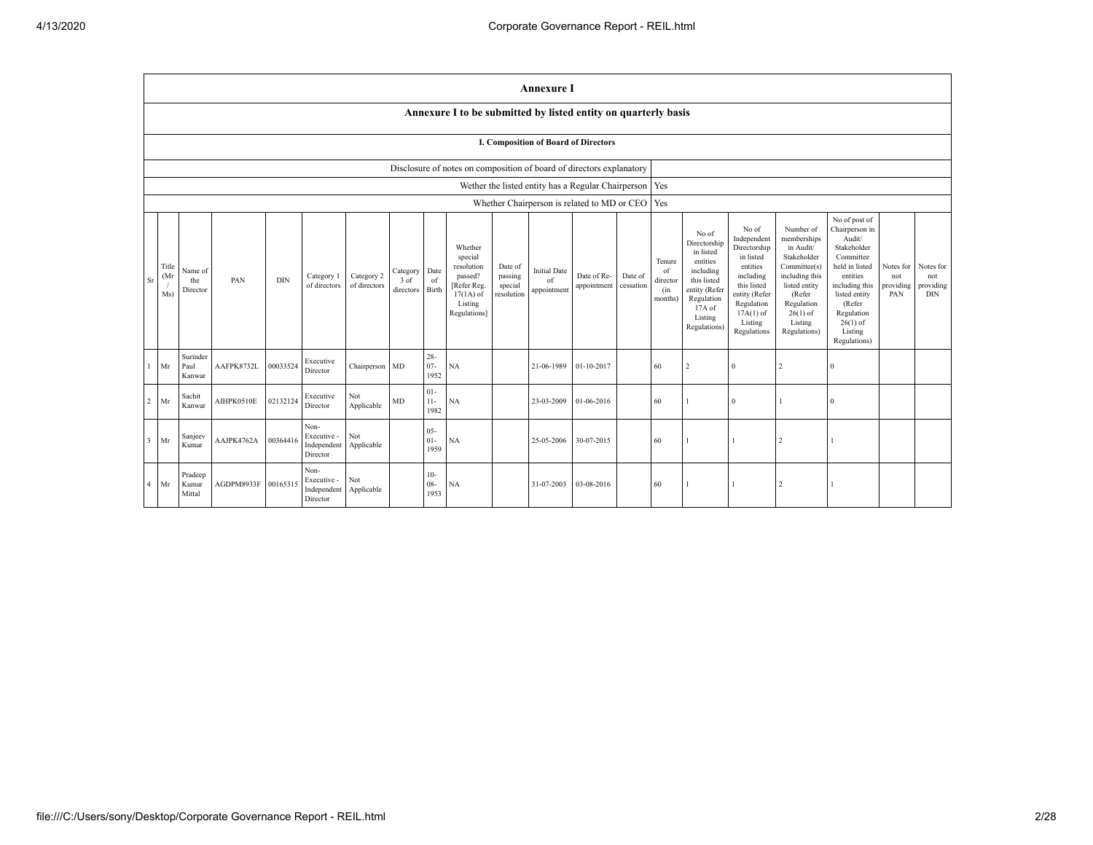|    |                      |                            |            |            |                                                |                            |                               |                          |                                                                                                      |                                             | <b>Annexure I</b>                                        |                            |                      |                                            |                                                                                                                                                |                                                                                                                                                                   |                                                                                                                                                                          |                                                                                                                                                                                                         |                                      |                                             |
|----|----------------------|----------------------------|------------|------------|------------------------------------------------|----------------------------|-------------------------------|--------------------------|------------------------------------------------------------------------------------------------------|---------------------------------------------|----------------------------------------------------------|----------------------------|----------------------|--------------------------------------------|------------------------------------------------------------------------------------------------------------------------------------------------|-------------------------------------------------------------------------------------------------------------------------------------------------------------------|--------------------------------------------------------------------------------------------------------------------------------------------------------------------------|---------------------------------------------------------------------------------------------------------------------------------------------------------------------------------------------------------|--------------------------------------|---------------------------------------------|
|    |                      |                            |            |            |                                                |                            |                               |                          | Annexure I to be submitted by listed entity on quarterly basis                                       |                                             |                                                          |                            |                      |                                            |                                                                                                                                                |                                                                                                                                                                   |                                                                                                                                                                          |                                                                                                                                                                                                         |                                      |                                             |
|    |                      |                            |            |            |                                                |                            |                               |                          |                                                                                                      |                                             | I. Composition of Board of Directors                     |                            |                      |                                            |                                                                                                                                                |                                                                                                                                                                   |                                                                                                                                                                          |                                                                                                                                                                                                         |                                      |                                             |
|    |                      |                            |            |            |                                                |                            |                               |                          | Disclosure of notes on composition of board of directors explanatory                                 |                                             |                                                          |                            |                      |                                            |                                                                                                                                                |                                                                                                                                                                   |                                                                                                                                                                          |                                                                                                                                                                                                         |                                      |                                             |
|    |                      |                            |            |            |                                                |                            |                               |                          |                                                                                                      |                                             | Wether the listed entity has a Regular Chairperson   Yes |                            |                      |                                            |                                                                                                                                                |                                                                                                                                                                   |                                                                                                                                                                          |                                                                                                                                                                                                         |                                      |                                             |
|    |                      |                            |            |            |                                                |                            |                               |                          |                                                                                                      |                                             | Whether Chairperson is related to MD or CEO Yes          |                            |                      |                                            |                                                                                                                                                |                                                                                                                                                                   |                                                                                                                                                                          |                                                                                                                                                                                                         |                                      |                                             |
| Sr | Title<br>(Mr)<br>Ms) | Name of<br>the<br>Director | PAN        | <b>DIN</b> | Category 1<br>of directors                     | Category 2<br>of directors | Category<br>3 of<br>directors | Date<br>of<br>Birth      | Whether<br>special<br>resolution<br>passed?<br>[Refer Reg.<br>$17(1A)$ of<br>Listing<br>Regulations] | Date of<br>passing<br>special<br>resolution | <b>Initial Date</b><br>of<br>appointment                 | Date of Re-<br>appointment | Date of<br>cessation | Tenure<br>of<br>director<br>(in<br>months) | No of<br>Directorship<br>in listed<br>entities<br>including<br>this listed<br>entity (Refer<br>Regulation<br>17A of<br>Listing<br>Regulations) | No of<br>Independent<br>Directorship<br>in listed<br>entities<br>including<br>this listed<br>entity (Refer<br>Regulation<br>$17A(1)$ of<br>Listing<br>Regulations | Number of<br>memberships<br>in Audit/<br>Stakeholder<br>Committee(s)<br>including this<br>listed entity<br>(Refer<br>Regulation<br>$26(1)$ of<br>Listing<br>Regulations) | No of post of<br>Chairperson in<br>Audit/<br>Stakeholder<br>Committee<br>held in listed<br>entities<br>including this<br>listed entity<br>(Refer<br>Regulation<br>$26(1)$ of<br>Listing<br>Regulations) | Notes for<br>not<br>providing<br>PAN | Notes for<br>not<br>providing<br><b>DIN</b> |
|    | $1$ Mr               | Surinder<br>Paul<br>Kanwar | AAFPK8732L | 00033524   | Executive<br>Director                          | Chairperson MD             |                               | $28 -$<br>$07 -$<br>1952 | NA                                                                                                   |                                             | 21-06-1989                                               | 01-10-2017                 |                      | 60                                         | $\overline{2}$                                                                                                                                 | $\Omega$                                                                                                                                                          |                                                                                                                                                                          | $\Omega$                                                                                                                                                                                                |                                      |                                             |
|    | $2$ Mr               | Sachit<br>Kanwar           | AIHPK0510E | 02132124   | Executive<br>Director                          | Not<br>Applicable          | MD                            | $01 -$<br>$11-$<br>1982  | NA                                                                                                   |                                             | 23-03-2009                                               | 01-06-2016                 |                      | 60                                         |                                                                                                                                                | $\Omega$                                                                                                                                                          |                                                                                                                                                                          | $\Omega$                                                                                                                                                                                                |                                      |                                             |
|    | $3$ Mr               | Sanjeev<br>Kumar           | AAJPK4762A | 00364416   | Non-<br>Executive -<br>Independent<br>Director | Not<br>Applicable          |                               | $05 -$<br>$01 -$<br>1959 | NA                                                                                                   |                                             | 25-05-2006                                               | 30-07-2015                 |                      | 60                                         |                                                                                                                                                |                                                                                                                                                                   | $\overline{2}$                                                                                                                                                           |                                                                                                                                                                                                         |                                      |                                             |
|    | 4 Mr                 | Pradeep<br>Kumar<br>Mittal | AGDPM8933F | 00165315   | Non-<br>Executive -<br>Independent<br>Director | Not<br>Applicable          |                               | $10-$<br>$08 -$<br>1953  | NA                                                                                                   |                                             | 31-07-2003                                               | 03-08-2016                 |                      | 60                                         |                                                                                                                                                |                                                                                                                                                                   |                                                                                                                                                                          |                                                                                                                                                                                                         |                                      |                                             |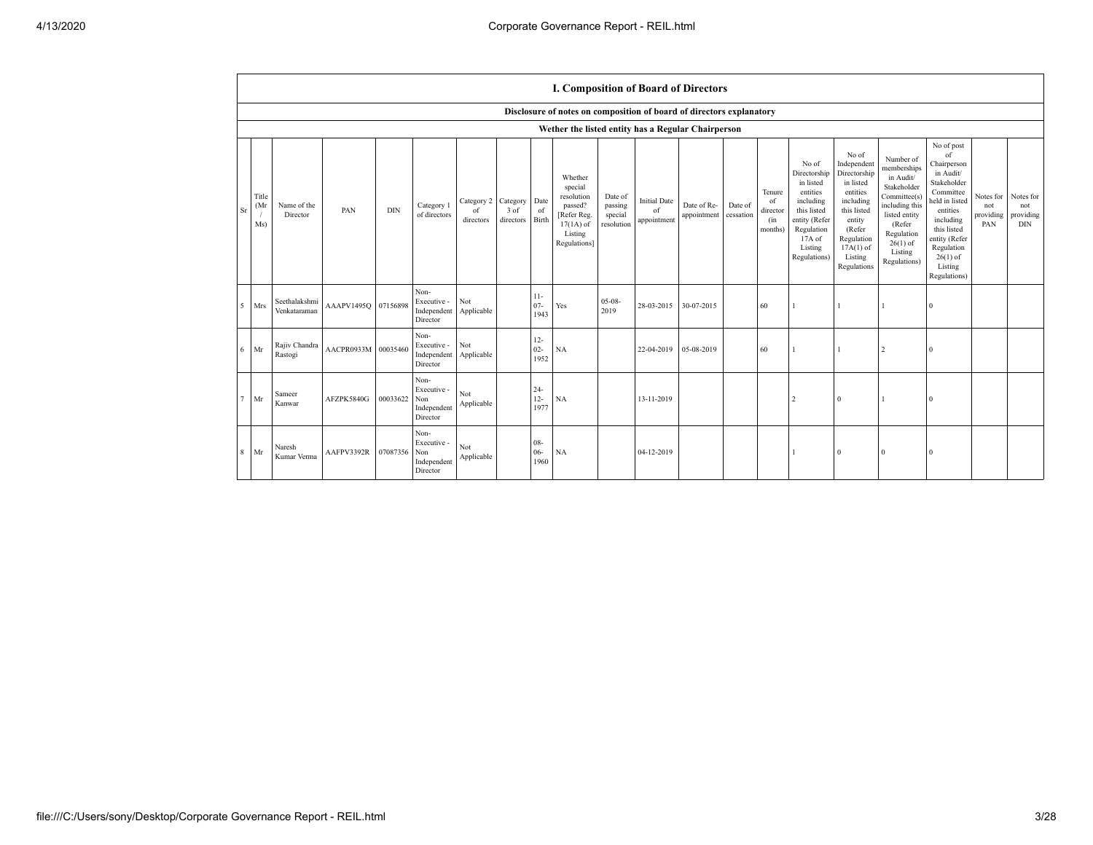|        |                     |                               |                     |            |                                                       |                                        |                   |                          | I. Composition of Board of Directors                                                                 |                                             |                                          |                            |                      |                                            |                                                                                                                                                |                                                                                                                                                                      |                                                                                                                                                                          |                                                                                                                                                                                                            |            |                                                                 |
|--------|---------------------|-------------------------------|---------------------|------------|-------------------------------------------------------|----------------------------------------|-------------------|--------------------------|------------------------------------------------------------------------------------------------------|---------------------------------------------|------------------------------------------|----------------------------|----------------------|--------------------------------------------|------------------------------------------------------------------------------------------------------------------------------------------------|----------------------------------------------------------------------------------------------------------------------------------------------------------------------|--------------------------------------------------------------------------------------------------------------------------------------------------------------------------|------------------------------------------------------------------------------------------------------------------------------------------------------------------------------------------------------------|------------|-----------------------------------------------------------------|
|        |                     |                               |                     |            |                                                       |                                        |                   |                          | Disclosure of notes on composition of board of directors explanatory                                 |                                             |                                          |                            |                      |                                            |                                                                                                                                                |                                                                                                                                                                      |                                                                                                                                                                          |                                                                                                                                                                                                            |            |                                                                 |
|        |                     |                               |                     |            |                                                       |                                        |                   |                          | Wether the listed entity has a Regular Chairperson                                                   |                                             |                                          |                            |                      |                                            |                                                                                                                                                |                                                                                                                                                                      |                                                                                                                                                                          |                                                                                                                                                                                                            |            |                                                                 |
| Sr     | Title<br>(Mr<br>Ms) | Name of the<br>Director       | PAN                 | <b>DIN</b> | Category 1<br>of directors                            | Category 2 Category<br>of<br>directors | 3 of<br>directors | Date<br>of<br>Birth      | Whether<br>special<br>resolution<br>passed?<br>[Refer Reg.<br>$17(1A)$ of<br>Listing<br>Regulations] | Date of<br>passing<br>special<br>resolution | <b>Initial Date</b><br>of<br>appointment | Date of Re-<br>appointment | Date of<br>cessation | Tenure<br>of<br>director<br>(in<br>months) | No of<br>Directorship<br>in listed<br>entities<br>including<br>this listed<br>entity (Refer<br>Regulation<br>17A of<br>Listing<br>Regulations) | No of<br>Independent<br>Directorship<br>in listed<br>entities<br>including<br>this listed<br>entity<br>(Refer<br>Regulation<br>$17A(1)$ of<br>Listing<br>Regulations | Number of<br>memberships<br>in Audit/<br>Stakeholder<br>Committee(s)<br>including this<br>listed entity<br>(Refer<br>Regulation<br>$26(1)$ of<br>Listing<br>Regulations) | No of post<br>of<br>Chairperson<br>in Audit/<br>Stakeholder<br>Committee<br>held in listed<br>entities<br>including<br>this listed<br>entity (Refer<br>Regulation<br>$26(1)$ of<br>Listing<br>Regulations) | not<br>PAN | Notes for Notes for<br>not<br>providing providing<br><b>DIN</b> |
| 5      | Mrs                 | Seethalakshmi<br>Venkataraman | AAAPV1495Q 07156898 |            | Non-<br>Executive -<br>Independent<br>Director        | Not<br>Applicable                      |                   | $11 -$<br>$07 -$<br>1943 | Yes                                                                                                  | $05-08-$<br>2019                            | 28-03-2015                               | 30-07-2015                 |                      | 60                                         |                                                                                                                                                |                                                                                                                                                                      |                                                                                                                                                                          | $\Omega$                                                                                                                                                                                                   |            |                                                                 |
| 6      | Mr                  | Rajiv Chandra<br>Rastogi      | AACPR0933M 00035460 |            | Non-<br>Executive -<br>Independent<br>Director        | Not<br>Applicable                      |                   | $12 -$<br>$02 -$<br>1952 | NA                                                                                                   |                                             | 22-04-2019                               | 05-08-2019                 |                      | 60                                         |                                                                                                                                                |                                                                                                                                                                      | $\overline{c}$                                                                                                                                                           | $\Omega$                                                                                                                                                                                                   |            |                                                                 |
| $\tau$ | Mr                  | Sameer<br>Kanwar              | AFZPK5840G          | 00033622   | Non-<br>Executive -<br>Non<br>Independent<br>Director | Not<br>Applicable                      |                   | $24 -$<br>$12 -$<br>1977 | NA                                                                                                   |                                             | 13-11-2019                               |                            |                      |                                            | $\overline{2}$                                                                                                                                 | $\mathbf{0}$                                                                                                                                                         | -1                                                                                                                                                                       | $\bf{0}$                                                                                                                                                                                                   |            |                                                                 |
| 8      | Mr                  | Naresh<br>Kumar Verma         | AAFPV3392R          | 07087356   | Non-<br>Executive -<br>Non<br>Independent<br>Director | Not<br>Applicable                      |                   | $08 -$<br>$06 -$<br>1960 | NA                                                                                                   |                                             | 04-12-2019                               |                            |                      |                                            |                                                                                                                                                | $\overline{0}$                                                                                                                                                       | $\mathbf{0}$                                                                                                                                                             | $\Omega$                                                                                                                                                                                                   |            |                                                                 |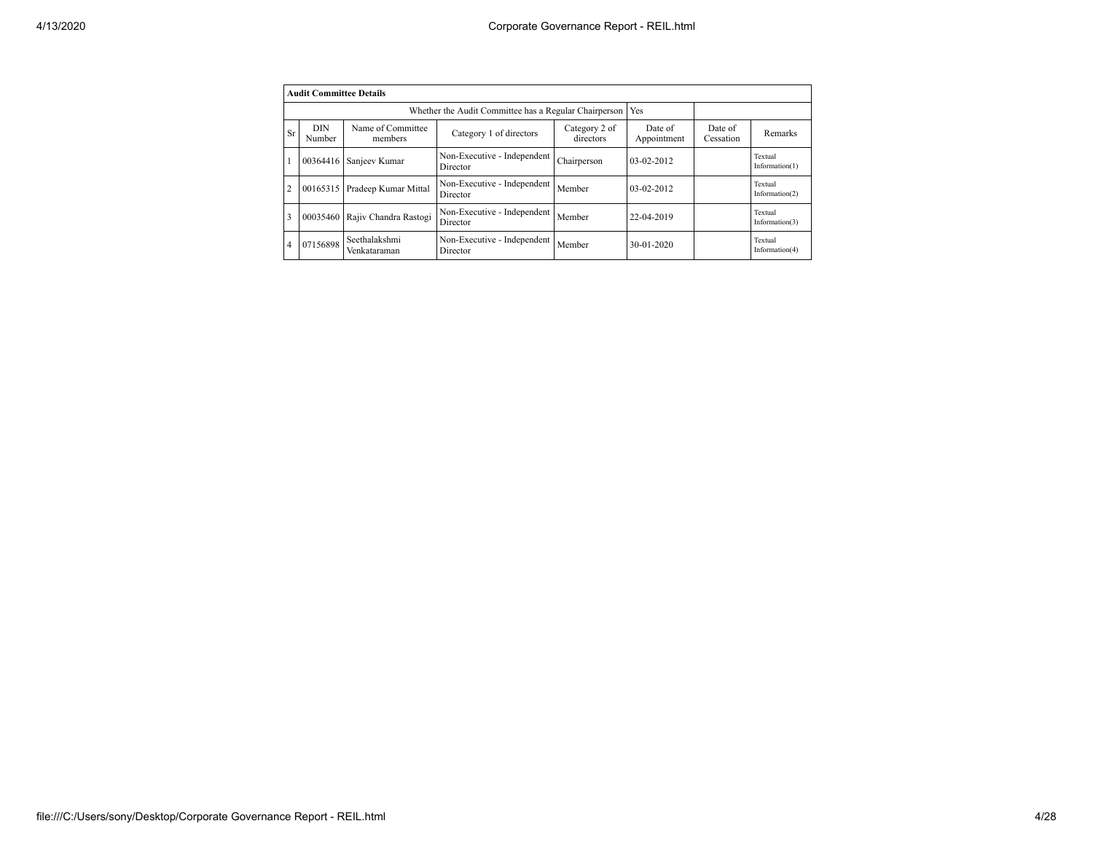|                | <b>Audit Committee Details</b> |                               |                                                       |                            |                        |                      |                              |
|----------------|--------------------------------|-------------------------------|-------------------------------------------------------|----------------------------|------------------------|----------------------|------------------------------|
|                |                                |                               | Whether the Audit Committee has a Regular Chairperson |                            | Yes                    |                      |                              |
| <b>Sr</b>      | <b>DIN</b><br>Number           | Name of Committee<br>members  | Category 1 of directors                               | Category 2 of<br>directors | Date of<br>Appointment | Date of<br>Cessation | <b>Remarks</b>               |
|                | 00364416                       | Sanjeev Kumar                 | Non-Executive - Independent<br>Director               | Chairperson                | $03-02-2012$           |                      | Textual<br>Information $(1)$ |
| $\overline{2}$ | 00165315                       | Pradeep Kumar Mittal          | Non-Executive - Independent<br>Director               | Member                     | 03-02-2012             |                      | Textual<br>Information $(2)$ |
| 3              | 00035460                       | Rajiv Chandra Rastogi         | Non-Executive - Independent<br>Director               | Member                     | 22-04-2019             |                      | Textual<br>Information $(3)$ |
| $\overline{4}$ | 07156898                       | Seethalakshmi<br>Venkataraman | Non-Executive - Independent<br>Director               | Member                     | $30 - 01 - 2020$       |                      | Textual<br>Information $(4)$ |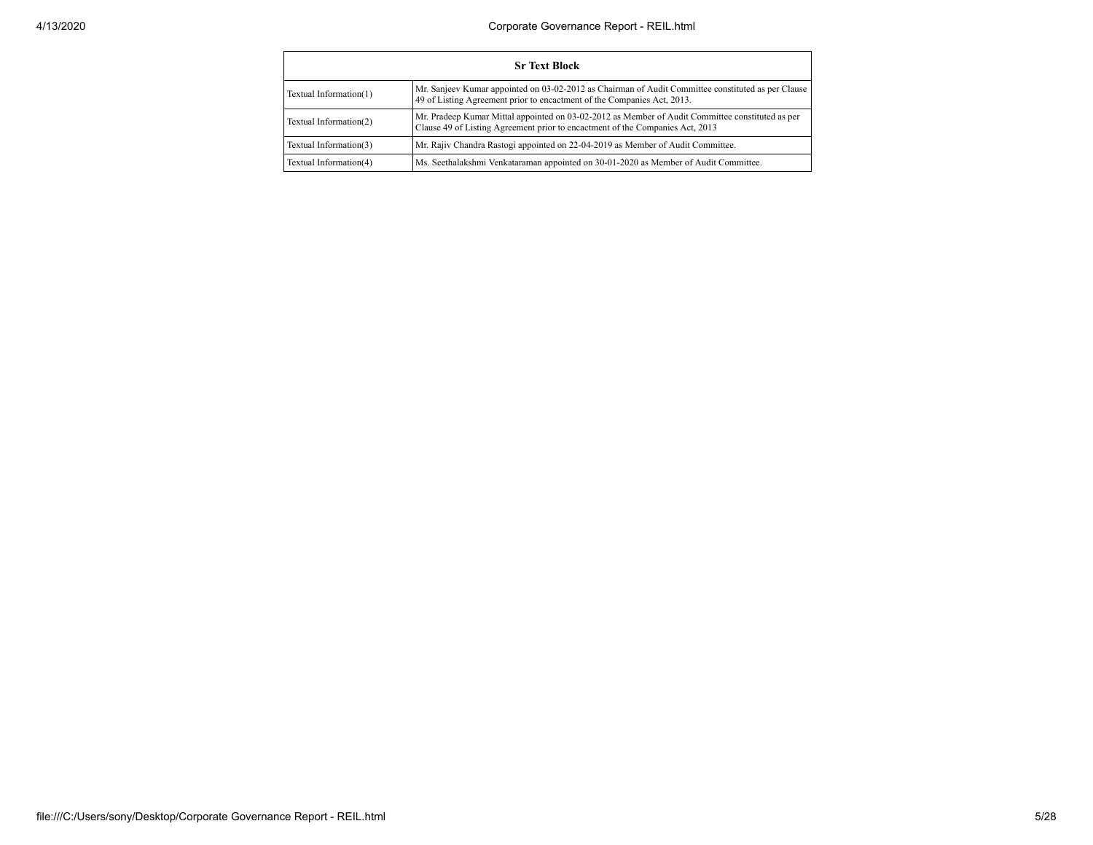|                        | <b>Sr Text Block</b>                                                                                                                                                              |
|------------------------|-----------------------------------------------------------------------------------------------------------------------------------------------------------------------------------|
| Textual Information(1) | Mr. Sanjeev Kumar appointed on 03-02-2012 as Chairman of Audit Committee constituted as per Clause<br>49 of Listing Agreement prior to encactment of the Companies Act, 2013.     |
| Textual Information(2) | Mr. Pradeep Kumar Mittal appointed on 03-02-2012 as Member of Audit Committee constituted as per<br>Clause 49 of Listing Agreement prior to encactment of the Companies Act, 2013 |
| Textual Information(3) | Mr. Rajiv Chandra Rastogi appointed on 22-04-2019 as Member of Audit Committee.                                                                                                   |
| Textual Information(4) | Ms. Seethalakshmi Venkataraman appointed on 30-01-2020 as Member of Audit Committee.                                                                                              |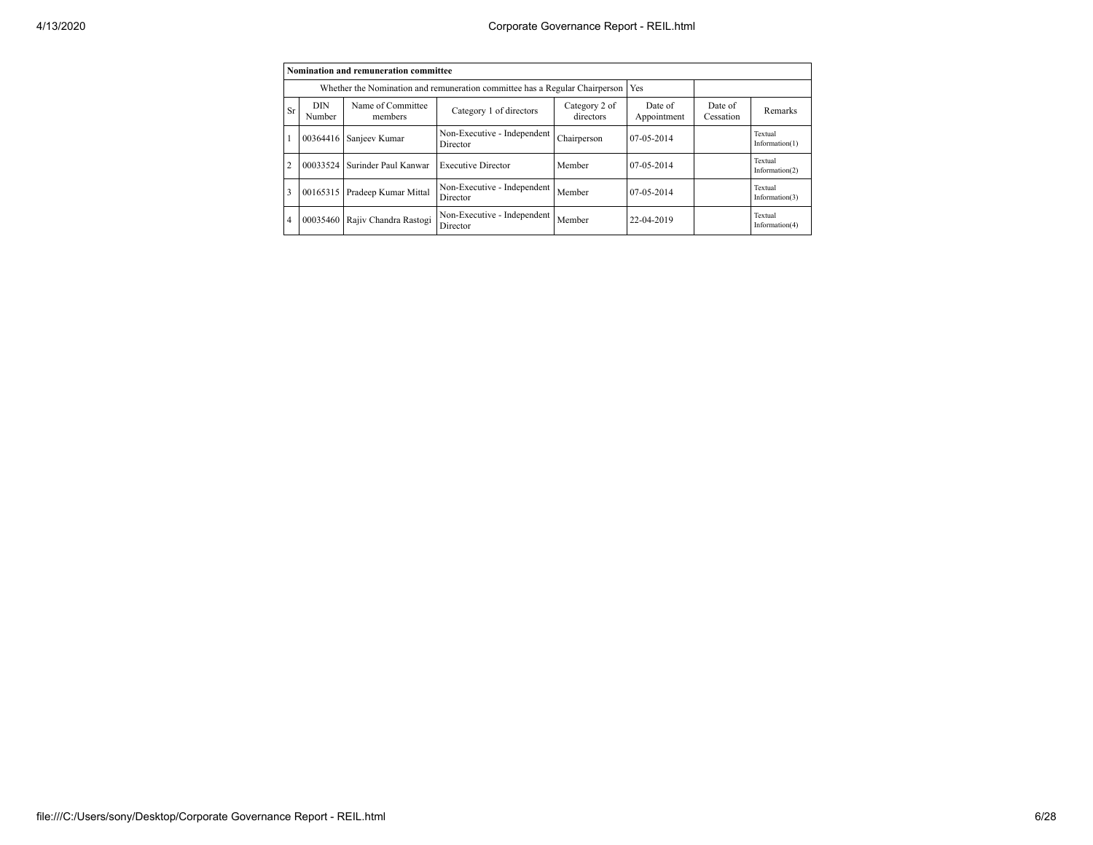|                |                      | Nomination and remuneration committee |                                                                             |                            |                        |                      |                              |
|----------------|----------------------|---------------------------------------|-----------------------------------------------------------------------------|----------------------------|------------------------|----------------------|------------------------------|
|                |                      |                                       | Whether the Nomination and remuneration committee has a Regular Chairperson |                            | Yes                    |                      |                              |
| <b>Sr</b>      | <b>DIN</b><br>Number | Name of Committee<br>members          | Category 1 of directors                                                     | Category 2 of<br>directors | Date of<br>Appointment | Date of<br>Cessation | Remarks                      |
|                | 00364416             | Sanjeev Kumar                         | Non-Executive - Independent<br>Director                                     | Chairperson                | 07-05-2014             |                      | Textual<br>Information $(1)$ |
| $\overline{2}$ | 00033524             | Surinder Paul Kanwar                  | <b>Executive Director</b>                                                   | Member                     | 07-05-2014             |                      | Textual<br>Information $(2)$ |
| 3              | 00165315             | Pradeep Kumar Mittal                  | Non-Executive - Independent<br>Director                                     | Member                     | 07-05-2014             |                      | Textual<br>Information $(3)$ |
| $\overline{4}$ | 00035460             | Rajiv Chandra Rastogi                 | Non-Executive - Independent<br>Director                                     | Member                     | 22-04-2019             |                      | Textual<br>Information $(4)$ |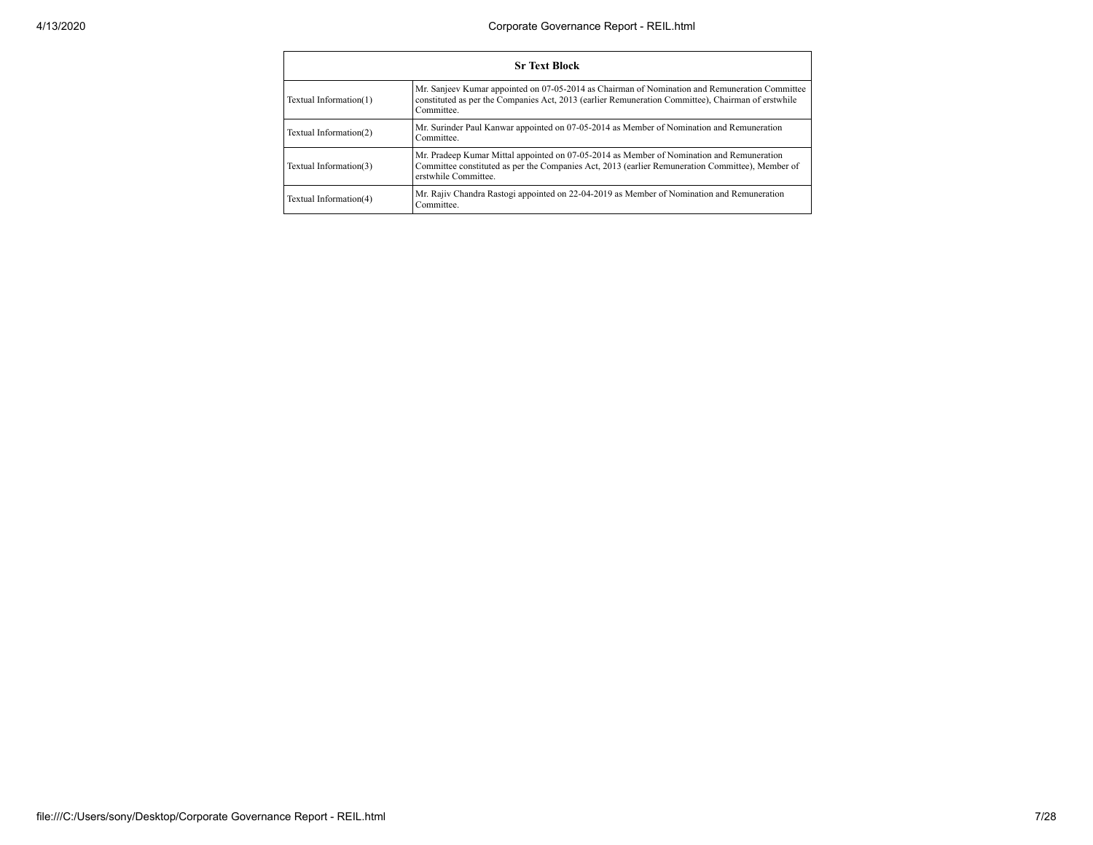|                        | <b>Sr Text Block</b>                                                                                                                                                                                                 |
|------------------------|----------------------------------------------------------------------------------------------------------------------------------------------------------------------------------------------------------------------|
| Textual Information(1) | Mr. Sanjeev Kumar appointed on 07-05-2014 as Chairman of Nomination and Remuneration Committee<br>constituted as per the Companies Act, 2013 (earlier Remuneration Committee), Chairman of erstwhile<br>Committee.   |
| Textual Information(2) | Mr. Surinder Paul Kanwar appointed on 07-05-2014 as Member of Nomination and Remuneration<br>Committee.                                                                                                              |
| Textual Information(3) | Mr. Pradeep Kumar Mittal appointed on 07-05-2014 as Member of Nomination and Remuneration<br>Committee constituted as per the Companies Act, 2013 (earlier Remuneration Committee), Member of<br>erstwhile Committee |
| Textual Information(4) | Mr. Rajiv Chandra Rastogi appointed on 22-04-2019 as Member of Nomination and Remuneration<br>Committee.                                                                                                             |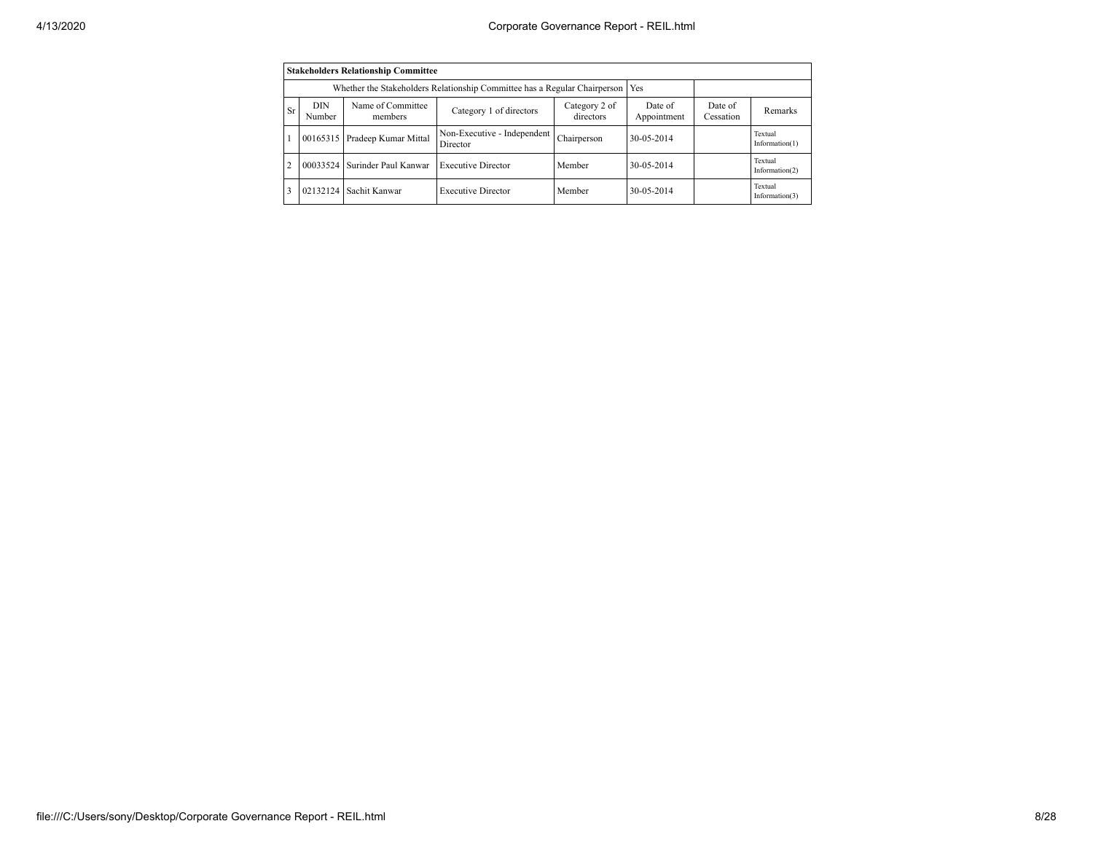|                |                      | <b>Stakeholders Relationship Committee</b> |                                                                           |                            |                        |                      |                              |
|----------------|----------------------|--------------------------------------------|---------------------------------------------------------------------------|----------------------------|------------------------|----------------------|------------------------------|
|                |                      |                                            | Whether the Stakeholders Relationship Committee has a Regular Chairperson |                            | Yes                    |                      |                              |
| <b>Sr</b>      | <b>DIN</b><br>Number | Name of Committee<br>members               | Category 1 of directors                                                   | Category 2 of<br>directors | Date of<br>Appointment | Date of<br>Cessation | Remarks                      |
|                |                      | 00165315 Pradeep Kumar Mittal              | Non-Executive - Independent<br>Director                                   | Chairperson                | 30-05-2014             |                      | Textual<br>Information $(1)$ |
| $\overline{c}$ | 00033524             | Surinder Paul Kanwar                       | <b>Executive Director</b>                                                 | Member                     | 30-05-2014             |                      | Textual<br>Information $(2)$ |
| 3              | 02132124             | Sachit Kanwar                              | <b>Executive Director</b>                                                 | Member                     | 30-05-2014             |                      | Textual<br>Information $(3)$ |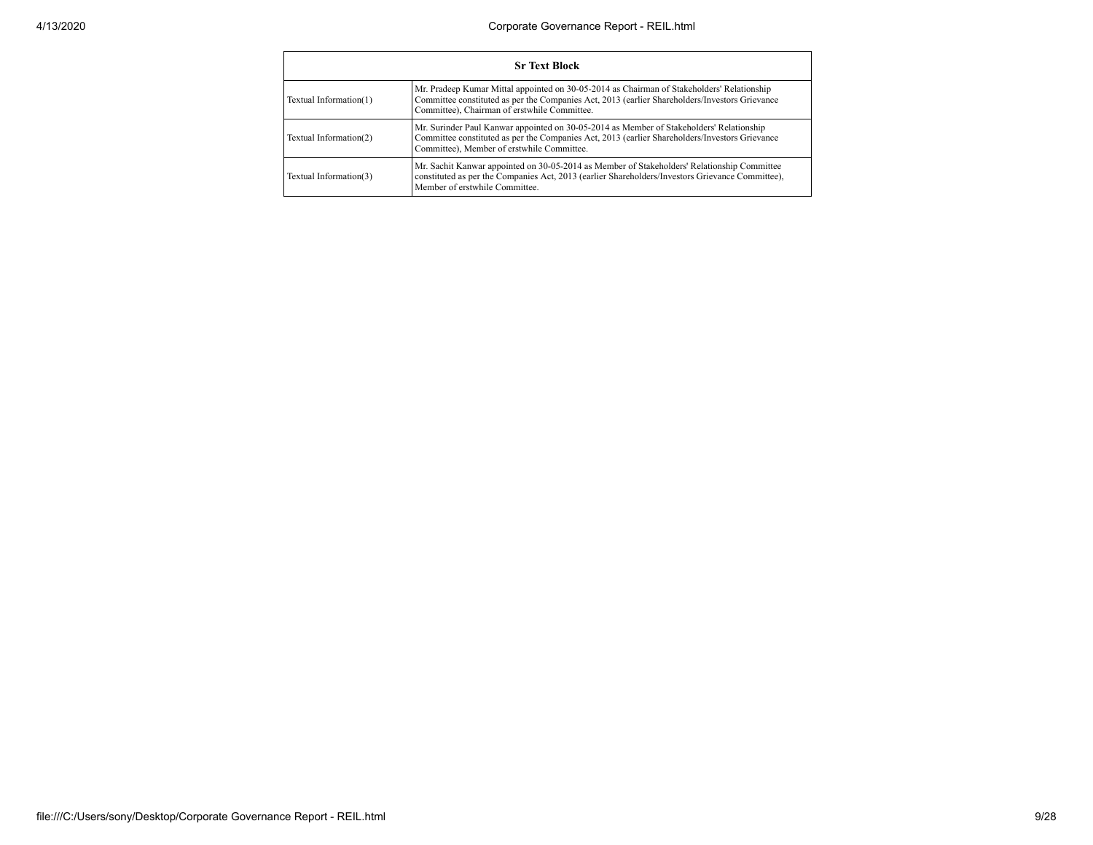|                        | <b>Sr Text Block</b>                                                                                                                                                                                                                         |
|------------------------|----------------------------------------------------------------------------------------------------------------------------------------------------------------------------------------------------------------------------------------------|
| Textual Information(1) | Mr. Pradeep Kumar Mittal appointed on 30-05-2014 as Chairman of Stakeholders' Relationship<br>Committee constituted as per the Companies Act, 2013 (earlier Shareholders/Investors Grievance<br>Committee), Chairman of erstwhile Committee. |
| Textual Information(2) | Mr. Surinder Paul Kanwar appointed on 30-05-2014 as Member of Stakeholders' Relationship<br>Committee constituted as per the Companies Act, 2013 (earlier Shareholders/Investors Grievance<br>Committee), Member of erstwhile Committee.     |
| Textual Information(3) | Mr. Sachit Kanwar appointed on 30-05-2014 as Member of Stakeholders' Relationship Committee<br>constituted as per the Companies Act, 2013 (earlier Shareholders/Investors Grievance Committee),<br>Member of erstwhile Committee             |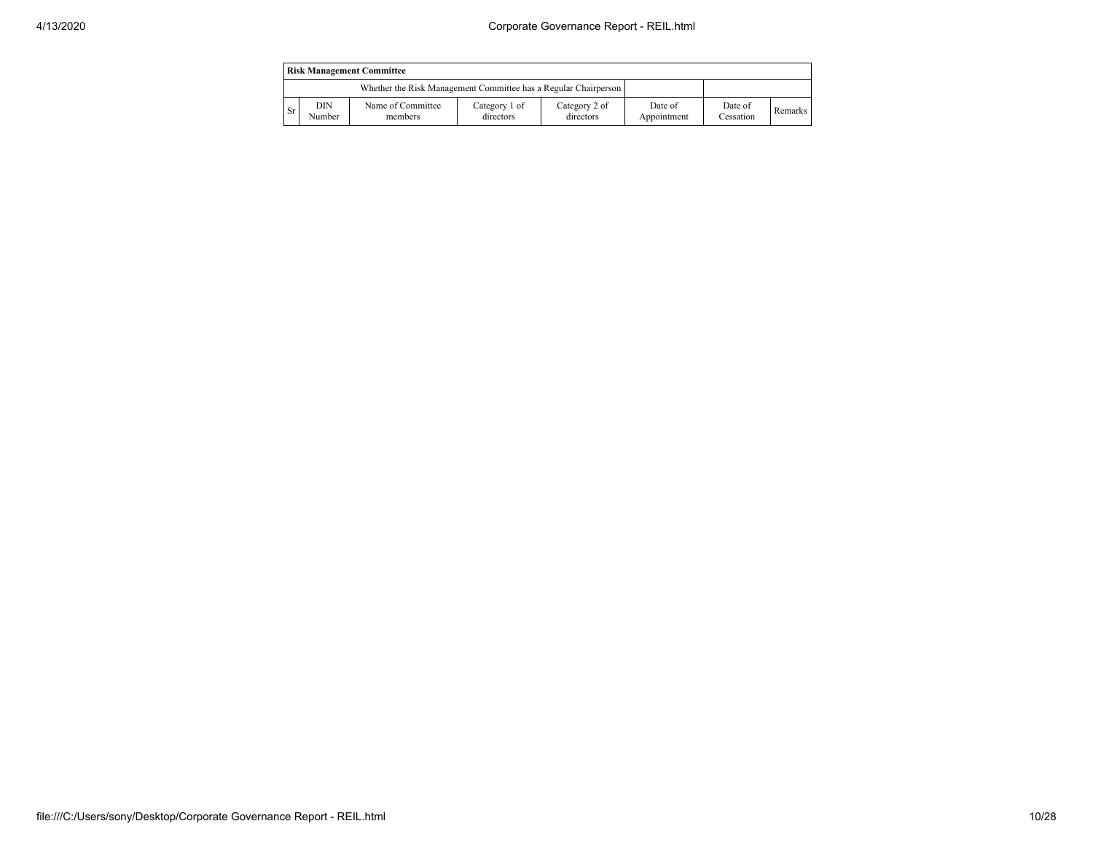|      |               | <b>Risk Management Committee</b>                                |                            |                            |                        |                      |         |
|------|---------------|-----------------------------------------------------------------|----------------------------|----------------------------|------------------------|----------------------|---------|
|      |               | Whether the Risk Management Committee has a Regular Chairperson |                            |                            |                        |                      |         |
| - Sr | DIN<br>Number | Name of Committee<br>members                                    | Category 1 of<br>directors | Category 2 of<br>directors | Date of<br>Appointment | Date of<br>Cessation | Remarks |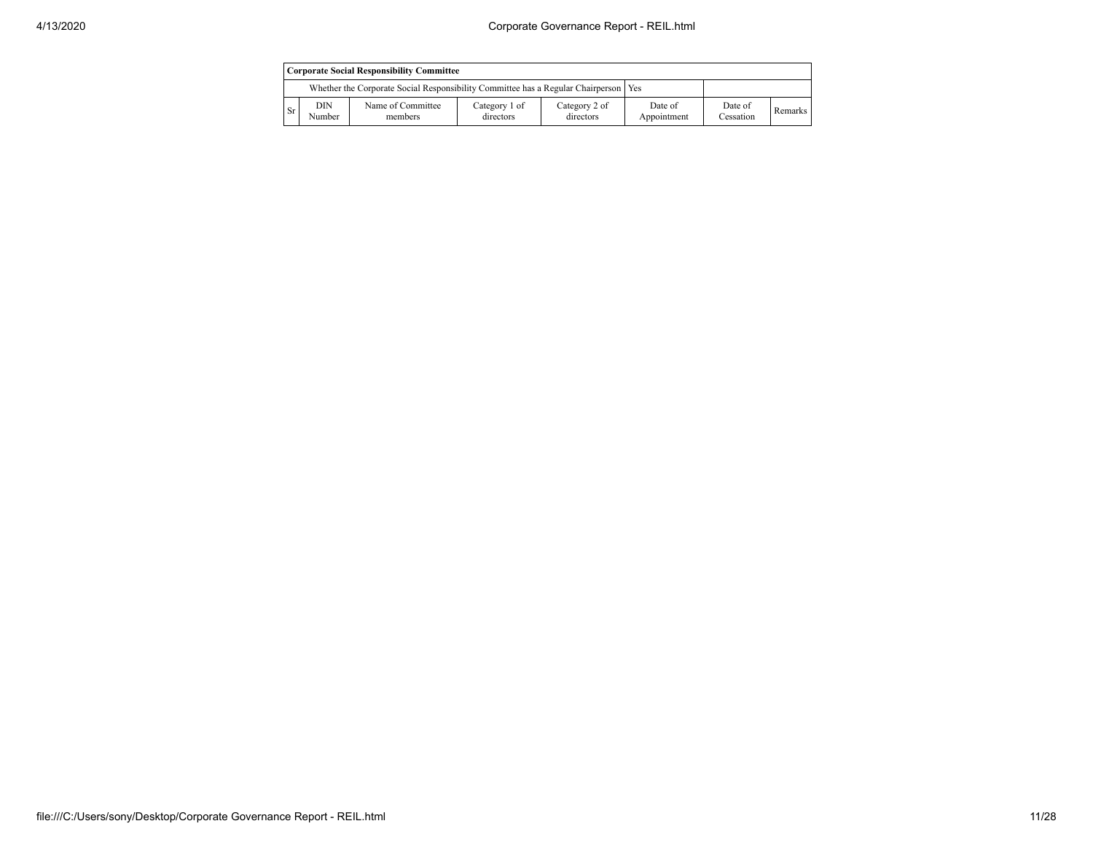|           |               | <b>Corporate Social Responsibility Committee</b>                                      |                            |                            |                        |                      |         |
|-----------|---------------|---------------------------------------------------------------------------------------|----------------------------|----------------------------|------------------------|----------------------|---------|
|           |               | Whether the Corporate Social Responsibility Committee has a Regular Chairperson   Yes |                            |                            |                        |                      |         |
| <b>Sr</b> | DIN<br>Number | Name of Committee<br>members                                                          | Category 1 of<br>directors | Category 2 of<br>directors | Date of<br>Appointment | Date of<br>Cessation | Remarks |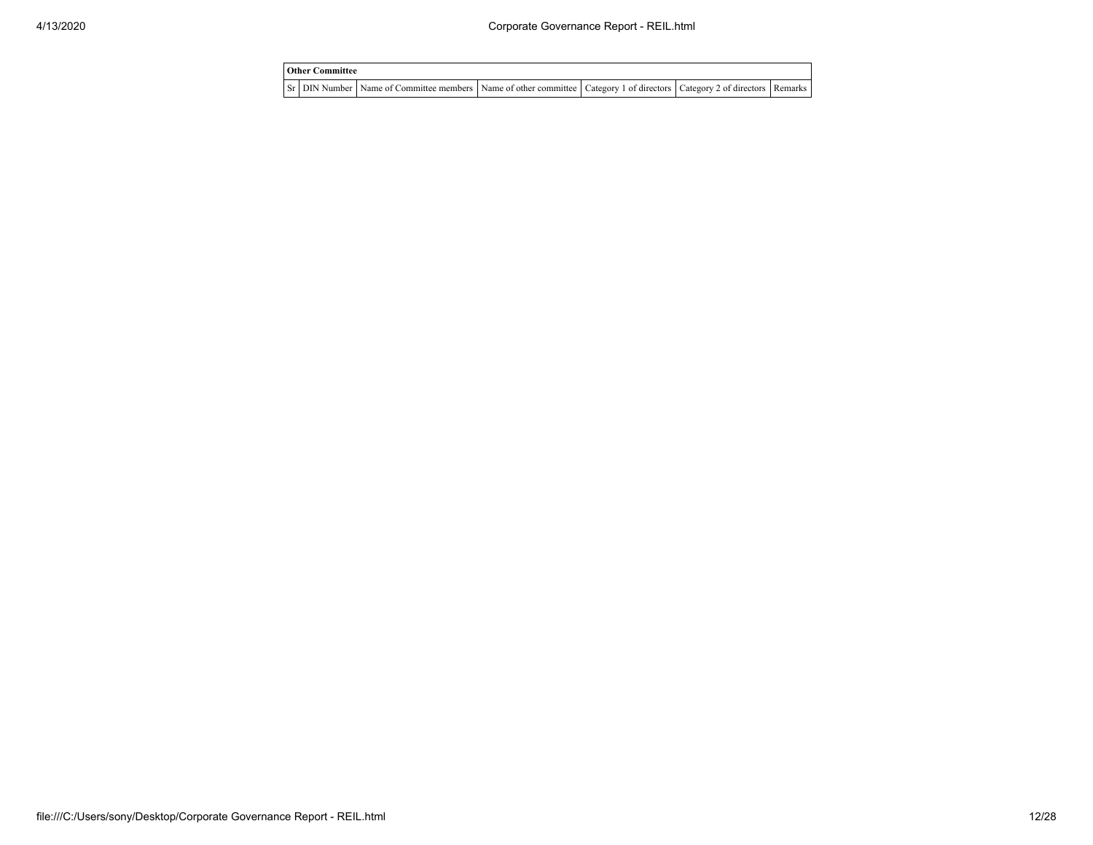| <b>Other Committee</b> |                                                                                                                         |  |  |
|------------------------|-------------------------------------------------------------------------------------------------------------------------|--|--|
|                        | Sr DIN Number Name of Committee members Name of other committee Category 1 of directors Category 2 of directors Remarks |  |  |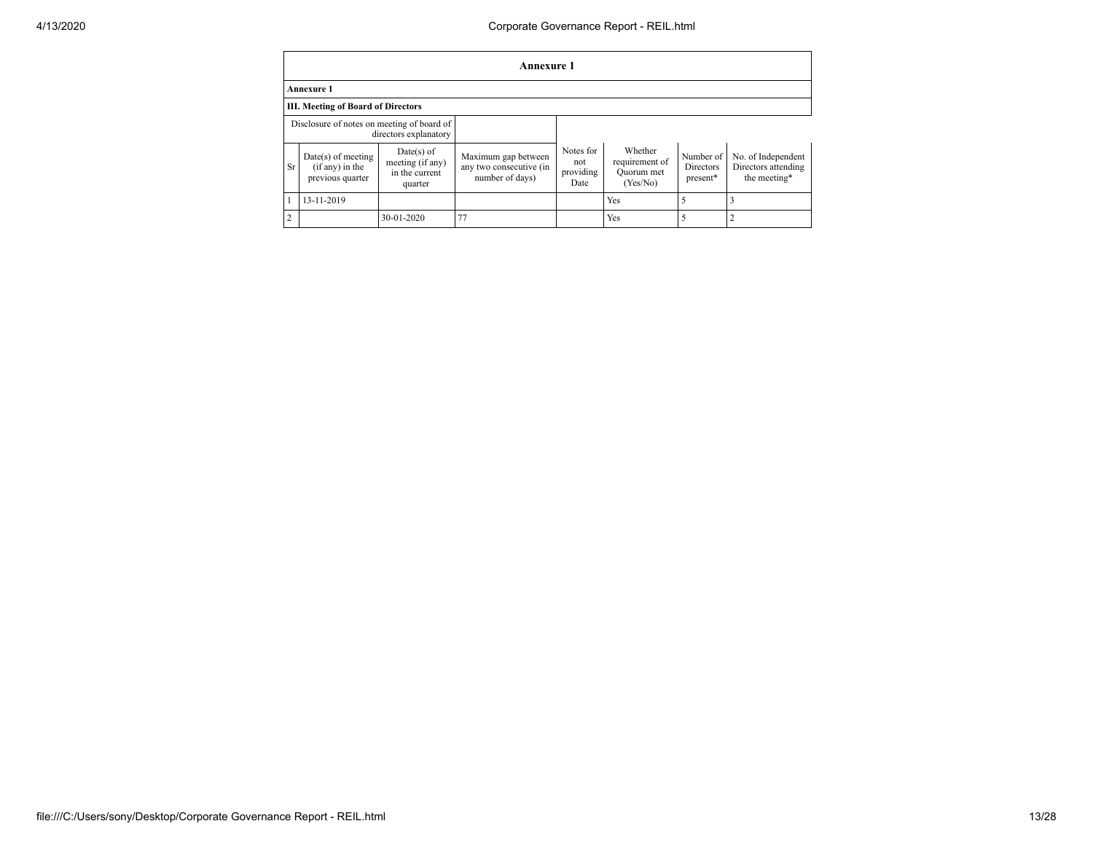|                                                                     | Annexure 1                                                    |                                                               |                                                                   |                                       |                                                     |                                           |                                                           |
|---------------------------------------------------------------------|---------------------------------------------------------------|---------------------------------------------------------------|-------------------------------------------------------------------|---------------------------------------|-----------------------------------------------------|-------------------------------------------|-----------------------------------------------------------|
|                                                                     | <b>Annexure 1</b>                                             |                                                               |                                                                   |                                       |                                                     |                                           |                                                           |
|                                                                     | III. Meeting of Board of Directors                            |                                                               |                                                                   |                                       |                                                     |                                           |                                                           |
| Disclosure of notes on meeting of board of<br>directors explanatory |                                                               |                                                               |                                                                   |                                       |                                                     |                                           |                                                           |
| <b>Sr</b>                                                           | $Date(s)$ of meeting<br>$(if any)$ in the<br>previous quarter | $Date(s)$ of<br>meeting (if any)<br>in the current<br>quarter | Maximum gap between<br>any two consecutive (in<br>number of days) | Notes for<br>not<br>providing<br>Date | Whether<br>requirement of<br>Quorum met<br>(Yes/No) | Number of<br><b>Directors</b><br>present* | No. of Independent<br>Directors attending<br>the meeting* |
|                                                                     | 13-11-2019                                                    |                                                               |                                                                   |                                       | Yes                                                 |                                           |                                                           |
| $\overline{c}$                                                      |                                                               | 30-01-2020                                                    | 77                                                                |                                       | Yes                                                 |                                           |                                                           |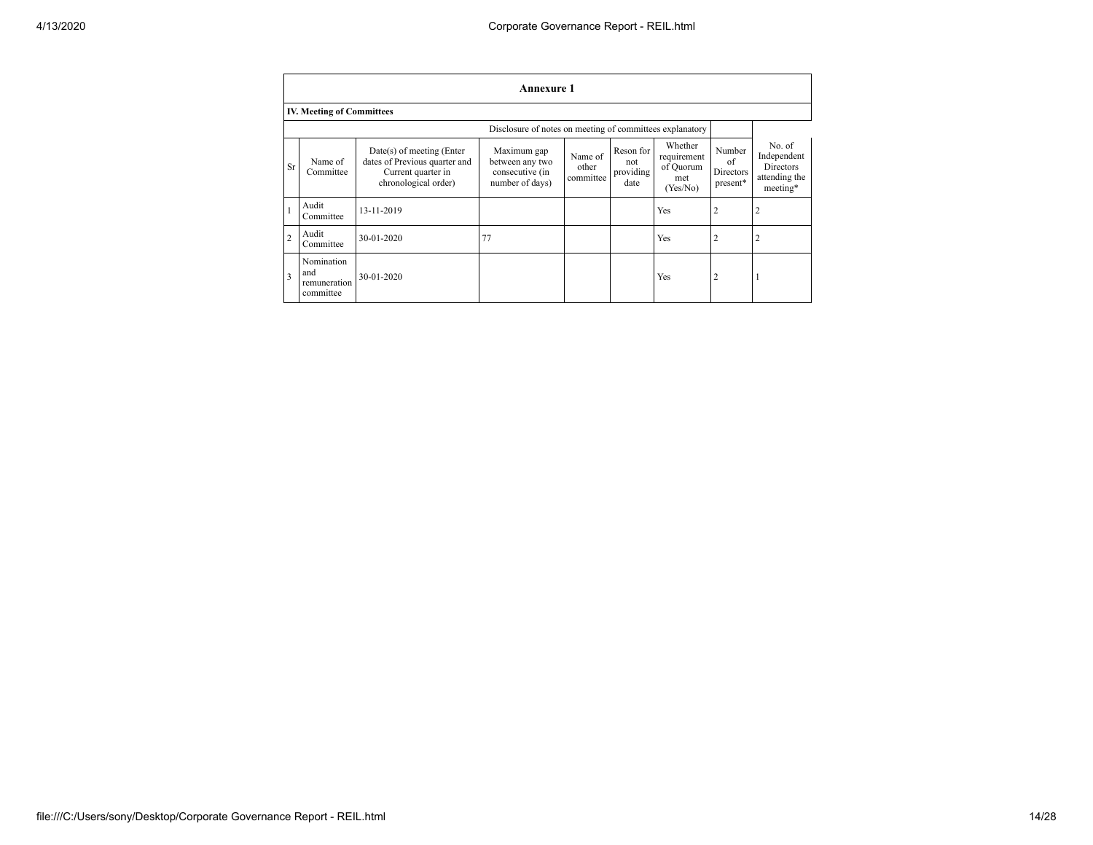|                | <b>Annexure 1</b>                              |                                                                                                          |                                                                      |                               |                                       |                                                        |                                       |                                                                 |
|----------------|------------------------------------------------|----------------------------------------------------------------------------------------------------------|----------------------------------------------------------------------|-------------------------------|---------------------------------------|--------------------------------------------------------|---------------------------------------|-----------------------------------------------------------------|
|                | <b>IV. Meeting of Committees</b>               |                                                                                                          |                                                                      |                               |                                       |                                                        |                                       |                                                                 |
|                |                                                |                                                                                                          | Disclosure of notes on meeting of committees explanatory             |                               |                                       |                                                        |                                       |                                                                 |
| Sr             | Name of<br>Committee                           | Date(s) of meeting (Enter<br>dates of Previous quarter and<br>Current quarter in<br>chronological order) | Maximum gap<br>between any two<br>consecutive (in<br>number of days) | Name of<br>other<br>committee | Reson for<br>not<br>providing<br>date | Whether<br>requirement<br>of Quorum<br>met<br>(Yes/No) | Number<br>of<br>Directors<br>present* | No. of<br>Independent<br>Directors<br>attending the<br>meeting* |
|                | Audit<br>Committee                             | 13-11-2019                                                                                               |                                                                      |                               |                                       | Yes                                                    | $\overline{2}$                        | $\overline{2}$                                                  |
| $\overline{2}$ | Audit<br>Committee                             | 30-01-2020                                                                                               | 77                                                                   |                               |                                       | Yes                                                    | $\overline{2}$                        | 2                                                               |
| 3              | Nomination<br>and<br>remuneration<br>committee | $30 - 01 - 2020$                                                                                         |                                                                      |                               |                                       | Yes                                                    | $\overline{c}$                        |                                                                 |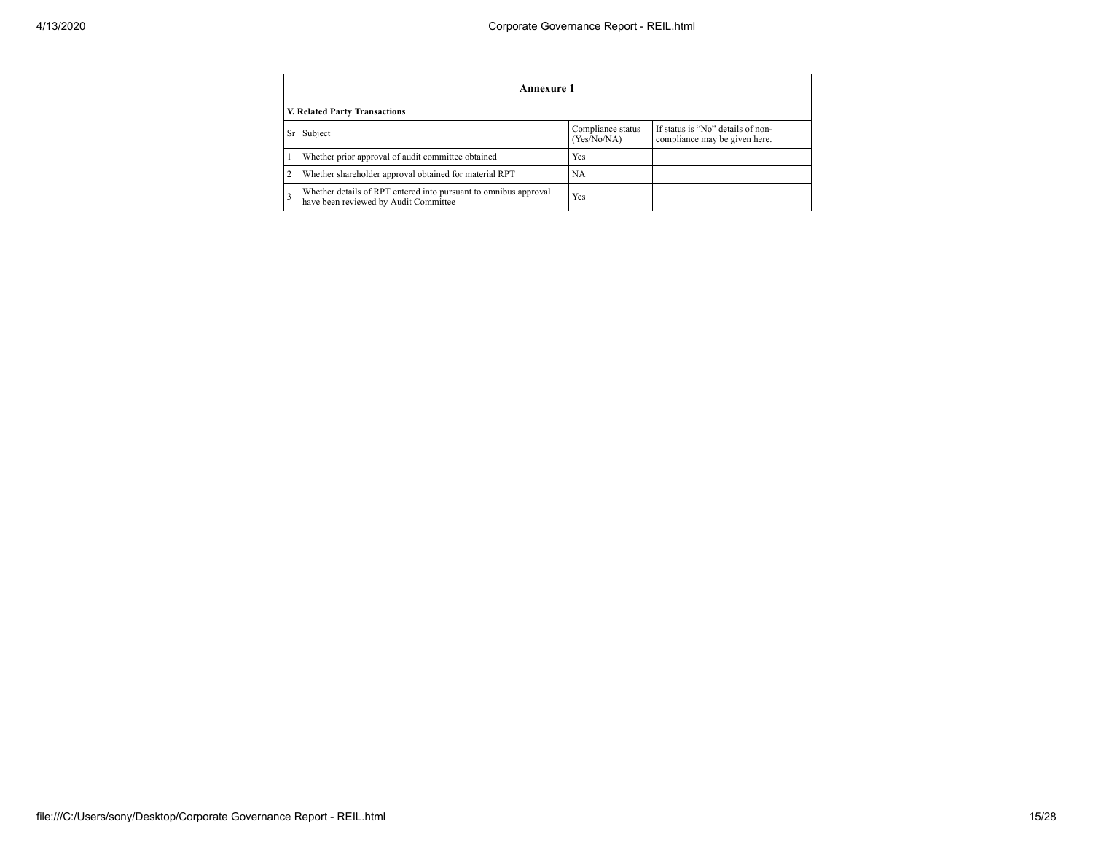|                | Annexure 1                                                                                                        |     |  |  |  |
|----------------|-------------------------------------------------------------------------------------------------------------------|-----|--|--|--|
|                | V. Related Party Transactions                                                                                     |     |  |  |  |
| <b>Sr</b>      | If status is "No" details of non-<br>Compliance status<br>Subject<br>(Yes/No/NA)<br>compliance may be given here. |     |  |  |  |
|                | Whether prior approval of audit committee obtained                                                                | Yes |  |  |  |
| $\overline{2}$ | Whether shareholder approval obtained for material RPT                                                            | NA  |  |  |  |
|                | Whether details of RPT entered into pursuant to omnibus approval<br>have been reviewed by Audit Committee         | Yes |  |  |  |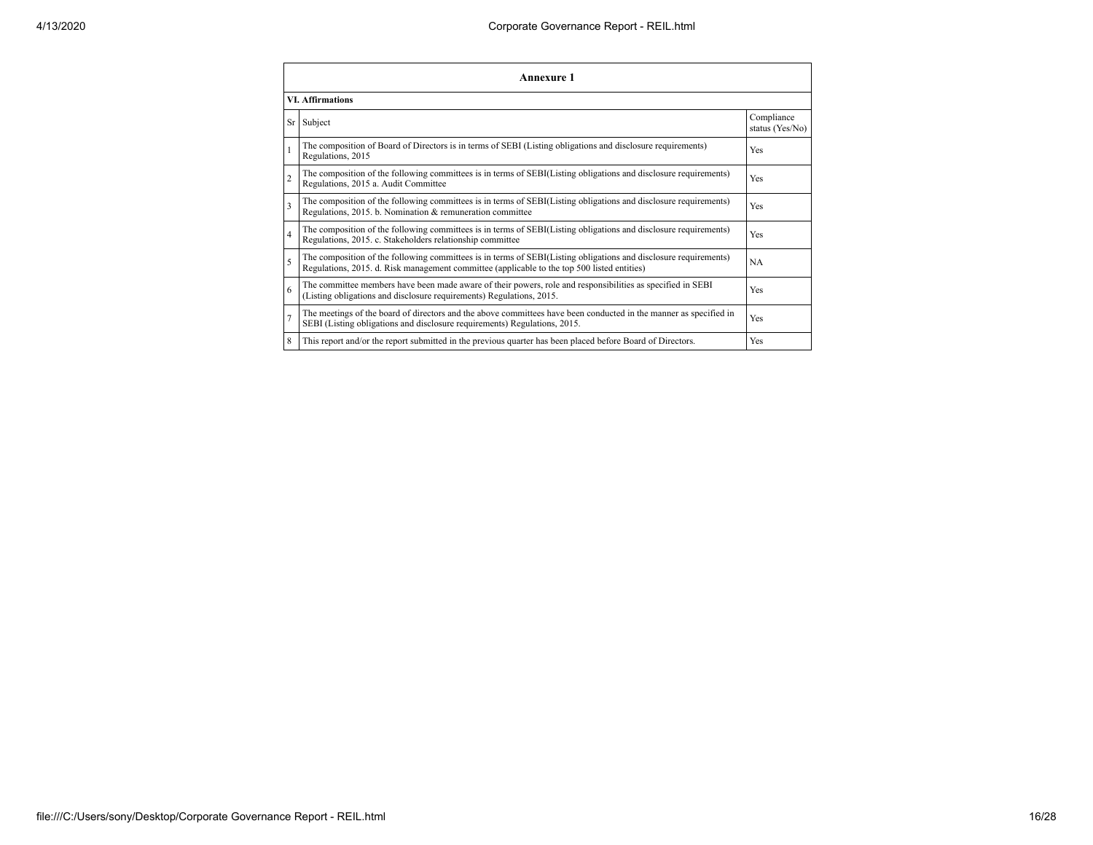|                | Annexure 1                                                                                                                                                                                                      |                               |  |  |  |  |
|----------------|-----------------------------------------------------------------------------------------------------------------------------------------------------------------------------------------------------------------|-------------------------------|--|--|--|--|
|                | <b>VI. Affirmations</b>                                                                                                                                                                                         |                               |  |  |  |  |
|                | Sr Subject                                                                                                                                                                                                      | Compliance<br>status (Yes/No) |  |  |  |  |
|                | The composition of Board of Directors is in terms of SEBI (Listing obligations and disclosure requirements)<br>Regulations, 2015                                                                                | Yes                           |  |  |  |  |
| $\overline{2}$ | The composition of the following committees is in terms of SEBI(Listing obligations and disclosure requirements)<br>Regulations, 2015 a. Audit Committee                                                        | Yes                           |  |  |  |  |
| 3              | The composition of the following committees is in terms of SEBI(Listing obligations and disclosure requirements)<br>Regulations, 2015. b. Nomination & remuneration committee                                   | Yes                           |  |  |  |  |
| 4              | The composition of the following committees is in terms of SEBI(Listing obligations and disclosure requirements)<br>Regulations, 2015. c. Stakeholders relationship committee                                   | Yes                           |  |  |  |  |
| 5              | The composition of the following committees is in terms of SEBI(Listing obligations and disclosure requirements)<br>Regulations, 2015. d. Risk management committee (applicable to the top 500 listed entities) | NA                            |  |  |  |  |
| 6              | The committee members have been made aware of their powers, role and responsibilities as specified in SEBI<br>(Listing obligations and disclosure requirements) Regulations, 2015.                              | Yes                           |  |  |  |  |
|                | The meetings of the board of directors and the above committees have been conducted in the manner as specified in<br>SEBI (Listing obligations and disclosure requirements) Regulations, 2015.                  | Yes                           |  |  |  |  |
| 8              | This report and/or the report submitted in the previous quarter has been placed before Board of Directors.                                                                                                      | Yes                           |  |  |  |  |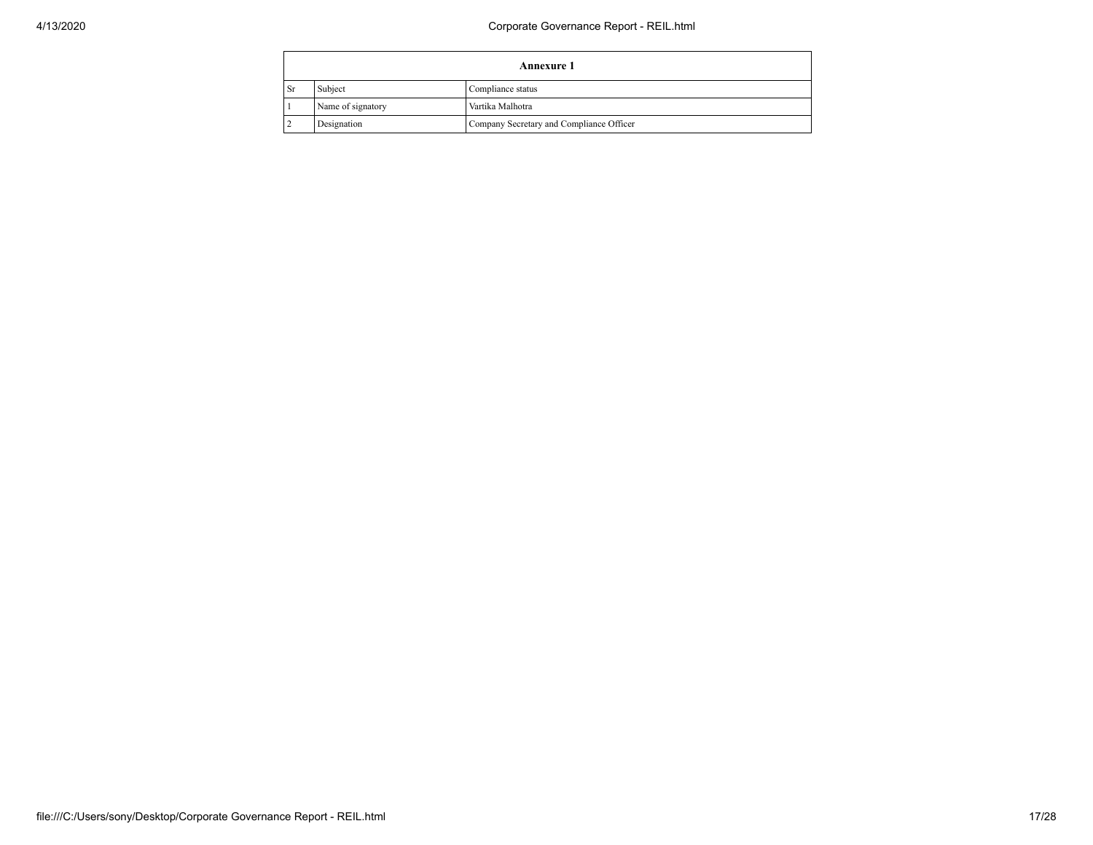|      | <b>Annexure 1</b>                     |                                          |  |  |  |
|------|---------------------------------------|------------------------------------------|--|--|--|
| ∣ Sr | Subject<br>Compliance status          |                                          |  |  |  |
|      | Name of signatory<br>Vartika Malhotra |                                          |  |  |  |
|      | Designation                           | Company Secretary and Compliance Officer |  |  |  |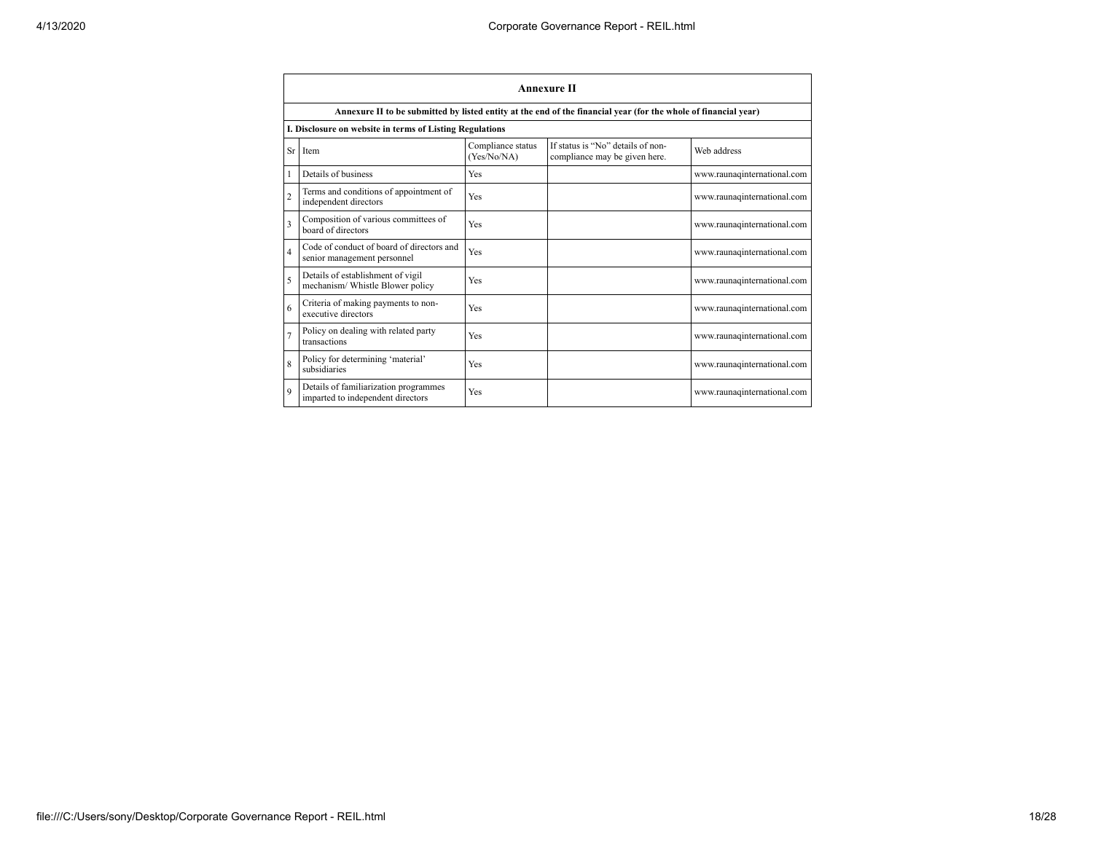|                | <b>Annexure II</b>                                                         |                                  |                                                                                                                 |                             |  |
|----------------|----------------------------------------------------------------------------|----------------------------------|-----------------------------------------------------------------------------------------------------------------|-----------------------------|--|
|                |                                                                            |                                  | Annexure II to be submitted by listed entity at the end of the financial year (for the whole of financial year) |                             |  |
|                | I. Disclosure on website in terms of Listing Regulations                   |                                  |                                                                                                                 |                             |  |
| $S_r$          | Item                                                                       | Compliance status<br>(Yes/No/NA) | If status is "No" details of non-<br>compliance may be given here.                                              | Web address                 |  |
|                | Details of business                                                        | Yes                              |                                                                                                                 | www.raunaqinternational.com |  |
| $\overline{2}$ | Terms and conditions of appointment of<br>independent directors            | Yes                              |                                                                                                                 | www.raunaqinternational.com |  |
| 3              | Composition of various committees of<br>board of directors                 | Yes                              |                                                                                                                 | www.raunaqinternational.com |  |
| $\overline{4}$ | Code of conduct of board of directors and<br>senior management personnel   | Yes                              |                                                                                                                 | www.raunaqinternational.com |  |
| 5              | Details of establishment of vigil<br>mechanism/ Whistle Blower policy      | Yes                              |                                                                                                                 | www.raunaqinternational.com |  |
| 6              | Criteria of making payments to non-<br>executive directors                 | Yes                              |                                                                                                                 | www.raunaqinternational.com |  |
| 7              | Policy on dealing with related party<br>transactions                       | Yes                              |                                                                                                                 | www.raunaqinternational.com |  |
| 8              | Policy for determining 'material'<br>subsidiaries                          | Yes                              |                                                                                                                 | www.raunaqinternational.com |  |
| $\mathbf Q$    | Details of familiarization programmes<br>imparted to independent directors | Yes                              |                                                                                                                 | www.raunaqinternational.com |  |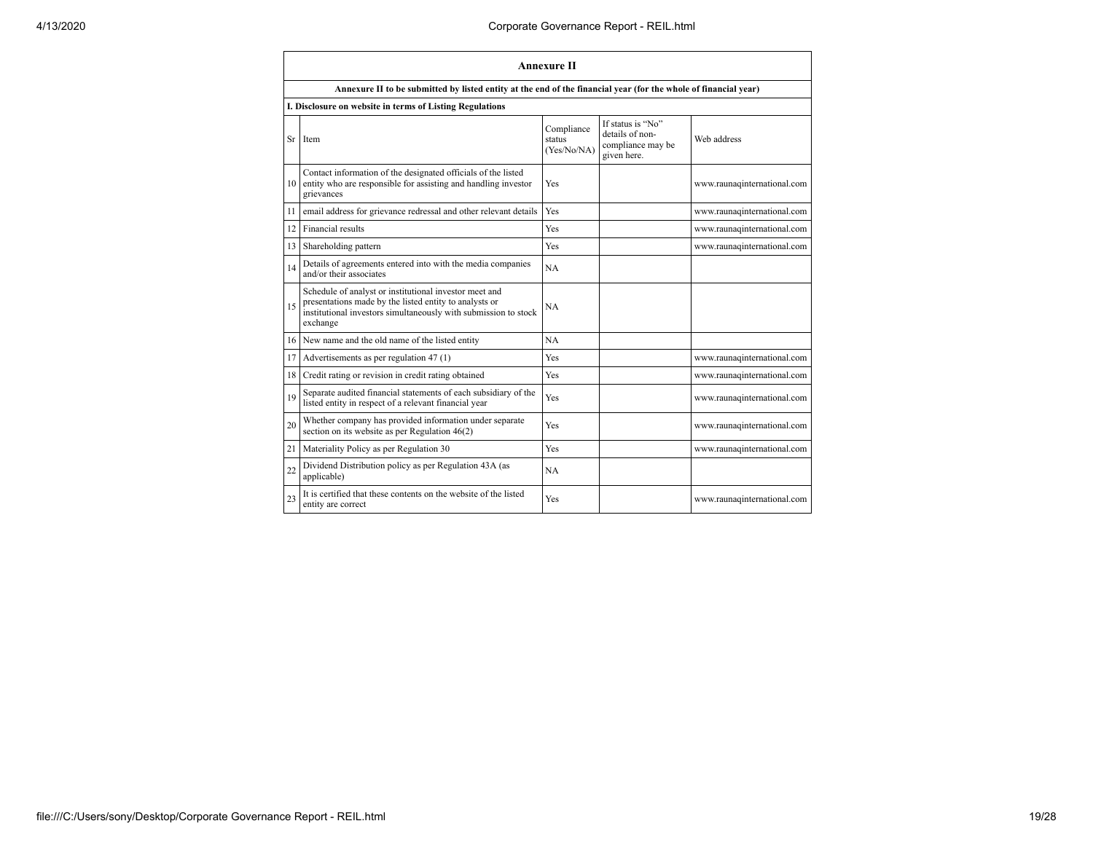|           | <b>Annexure II</b>                                                                                                                                                                              |                                     |                                                                          |                             |  |
|-----------|-------------------------------------------------------------------------------------------------------------------------------------------------------------------------------------------------|-------------------------------------|--------------------------------------------------------------------------|-----------------------------|--|
|           | Annexure II to be submitted by listed entity at the end of the financial year (for the whole of financial year)                                                                                 |                                     |                                                                          |                             |  |
|           | I. Disclosure on website in terms of Listing Regulations                                                                                                                                        |                                     |                                                                          |                             |  |
| <b>Sr</b> | Item                                                                                                                                                                                            | Compliance<br>status<br>(Yes/No/NA) | If status is "No"<br>details of non-<br>compliance may be<br>given here. | Web address                 |  |
| 10        | Contact information of the designated officials of the listed<br>entity who are responsible for assisting and handling investor<br>grievances                                                   | Yes                                 |                                                                          | www.raunaqinternational.com |  |
| 11        | email address for grievance redressal and other relevant details                                                                                                                                | Yes                                 |                                                                          | www.raunaqinternational.com |  |
| 12        | Financial results                                                                                                                                                                               | Yes                                 |                                                                          | www.raunaqinternational.com |  |
| 13        | Shareholding pattern                                                                                                                                                                            | Yes                                 |                                                                          | www.raunaqinternational.com |  |
| 14        | Details of agreements entered into with the media companies<br>and/or their associates                                                                                                          | NA                                  |                                                                          |                             |  |
| 15        | Schedule of analyst or institutional investor meet and<br>presentations made by the listed entity to analysts or<br>institutional investors simultaneously with submission to stock<br>exchange | NA                                  |                                                                          |                             |  |
| 16        | New name and the old name of the listed entity                                                                                                                                                  | NA                                  |                                                                          |                             |  |
| 17        | Advertisements as per regulation 47 (1)                                                                                                                                                         | Yes                                 |                                                                          | www.raunaqinternational.com |  |
| 18        | Credit rating or revision in credit rating obtained                                                                                                                                             | Yes                                 |                                                                          | www.raunaqinternational.com |  |
| 19        | Separate audited financial statements of each subsidiary of the<br>listed entity in respect of a relevant financial year                                                                        | Yes                                 |                                                                          | www.raunaqinternational.com |  |
| 20        | Whether company has provided information under separate<br>section on its website as per Regulation 46(2)                                                                                       | Yes                                 |                                                                          | www.raunaqinternational.com |  |
| 21        | Materiality Policy as per Regulation 30                                                                                                                                                         | Yes                                 |                                                                          | www.raunaqinternational.com |  |
| 22        | Dividend Distribution policy as per Regulation 43A (as<br>applicable)                                                                                                                           | NA                                  |                                                                          |                             |  |
| 23        | It is certified that these contents on the website of the listed<br>entity are correct                                                                                                          | Yes                                 |                                                                          | www.raunaqinternational.com |  |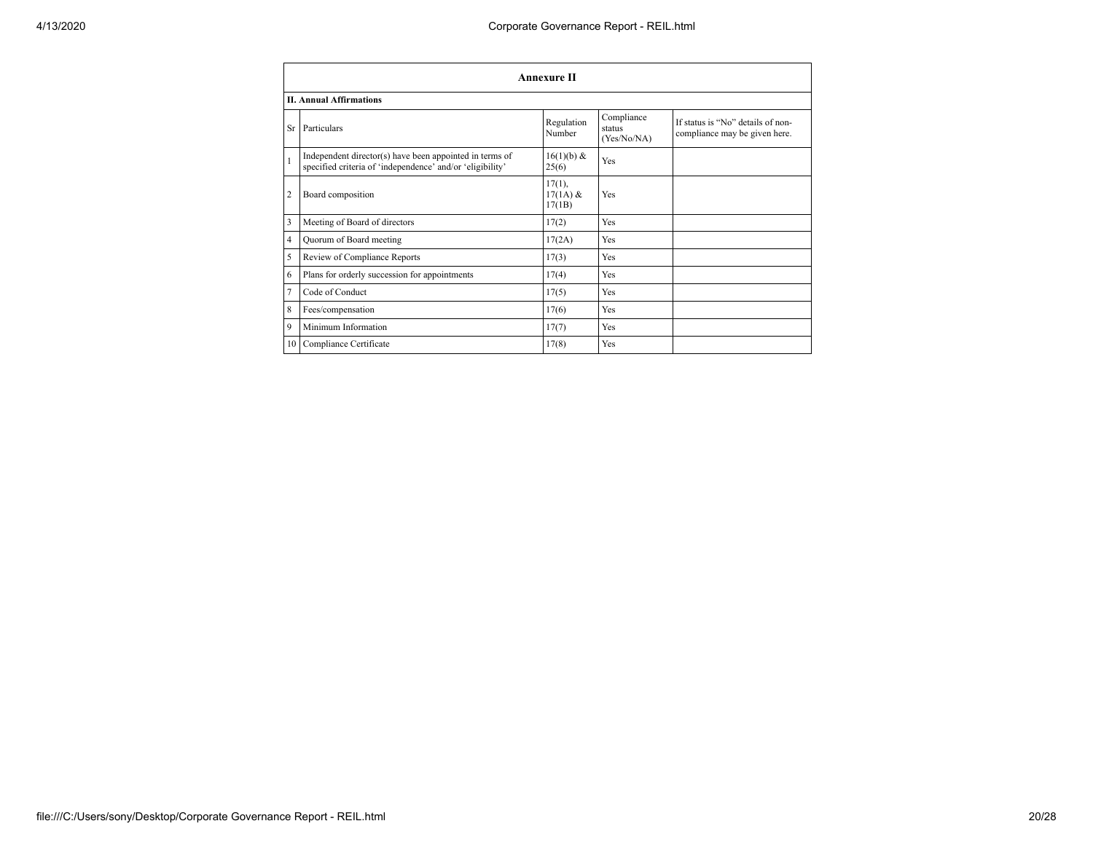|                 | <b>Annexure II</b>                                                                                                   |                                   |                                     |                                                                    |  |
|-----------------|----------------------------------------------------------------------------------------------------------------------|-----------------------------------|-------------------------------------|--------------------------------------------------------------------|--|
|                 | <b>II. Annual Affirmations</b>                                                                                       |                                   |                                     |                                                                    |  |
| <b>Sr</b>       | Particulars                                                                                                          | Regulation<br>Number              | Compliance<br>status<br>(Yes/No/NA) | If status is "No" details of non-<br>compliance may be given here. |  |
| $\mathbf{1}$    | Independent director(s) have been appointed in terms of<br>specified criteria of 'independence' and/or 'eligibility' | 16(1)(b) &<br>25(6)               | Yes                                 |                                                                    |  |
| $\overline{2}$  | Board composition                                                                                                    | $17(1)$ ,<br>$17(1A)$ &<br>17(1B) | Yes                                 |                                                                    |  |
| 3               | Meeting of Board of directors                                                                                        | 17(2)                             | Yes                                 |                                                                    |  |
| $\overline{4}$  | Quorum of Board meeting                                                                                              | 17(2A)                            | Yes                                 |                                                                    |  |
| 5               | Review of Compliance Reports                                                                                         | 17(3)                             | Yes                                 |                                                                    |  |
| 6               | Plans for orderly succession for appointments                                                                        | 17(4)                             | Yes                                 |                                                                    |  |
| $\overline{7}$  | Code of Conduct                                                                                                      | 17(5)                             | Yes                                 |                                                                    |  |
| 8               | Fees/compensation                                                                                                    | 17(6)                             | Yes                                 |                                                                    |  |
| 9               | Minimum Information                                                                                                  | 17(7)                             | Yes                                 |                                                                    |  |
| 10 <sup>1</sup> | Compliance Certificate                                                                                               | 17(8)                             | Yes                                 |                                                                    |  |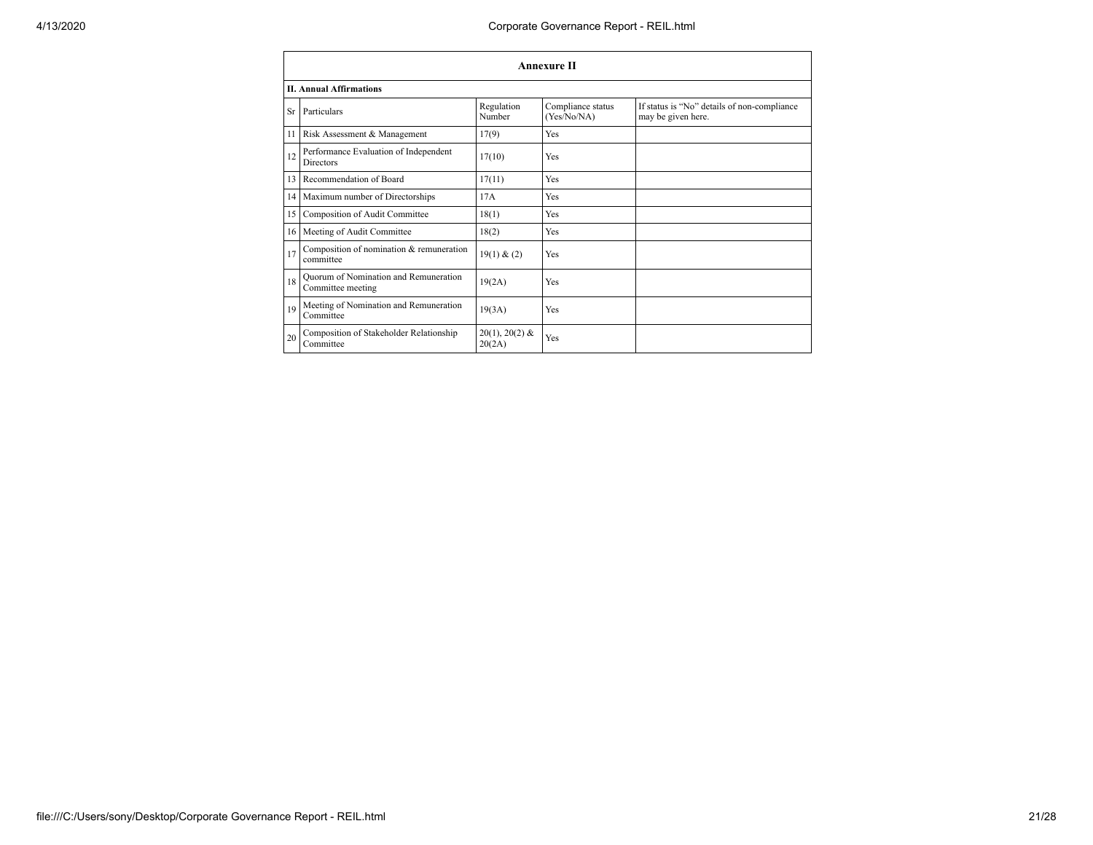|    | <b>Annexure II</b>                                         |                            |                                  |                                                                   |  |  |
|----|------------------------------------------------------------|----------------------------|----------------------------------|-------------------------------------------------------------------|--|--|
|    | <b>II. Annual Affirmations</b>                             |                            |                                  |                                                                   |  |  |
| Sr | Particulars                                                | Regulation<br>Number       | Compliance status<br>(Yes/No/NA) | If status is "No" details of non-compliance<br>may be given here. |  |  |
| 11 | Risk Assessment & Management                               | 17(9)                      | Yes                              |                                                                   |  |  |
| 12 | Performance Evaluation of Independent<br>Directors         | 17(10)                     | Yes                              |                                                                   |  |  |
| 13 | Recommendation of Board                                    | 17(11)                     | Yes                              |                                                                   |  |  |
| 14 | Maximum number of Directorships                            | 17A                        | Yes                              |                                                                   |  |  |
| 15 | Composition of Audit Committee                             | 18(1)                      | Yes                              |                                                                   |  |  |
| 16 | Meeting of Audit Committee                                 | 18(2)                      | Yes                              |                                                                   |  |  |
| 17 | Composition of nomination & remuneration<br>committee      | 19(1) & (2)                | Yes                              |                                                                   |  |  |
| 18 | Quorum of Nomination and Remuneration<br>Committee meeting | 19(2A)                     | Yes                              |                                                                   |  |  |
| 19 | Meeting of Nomination and Remuneration<br>Committee        | 19(3A)                     | Yes                              |                                                                   |  |  |
| 20 | Composition of Stakeholder Relationship<br>Committee       | $20(1), 20(2)$ &<br>20(2A) | Yes                              |                                                                   |  |  |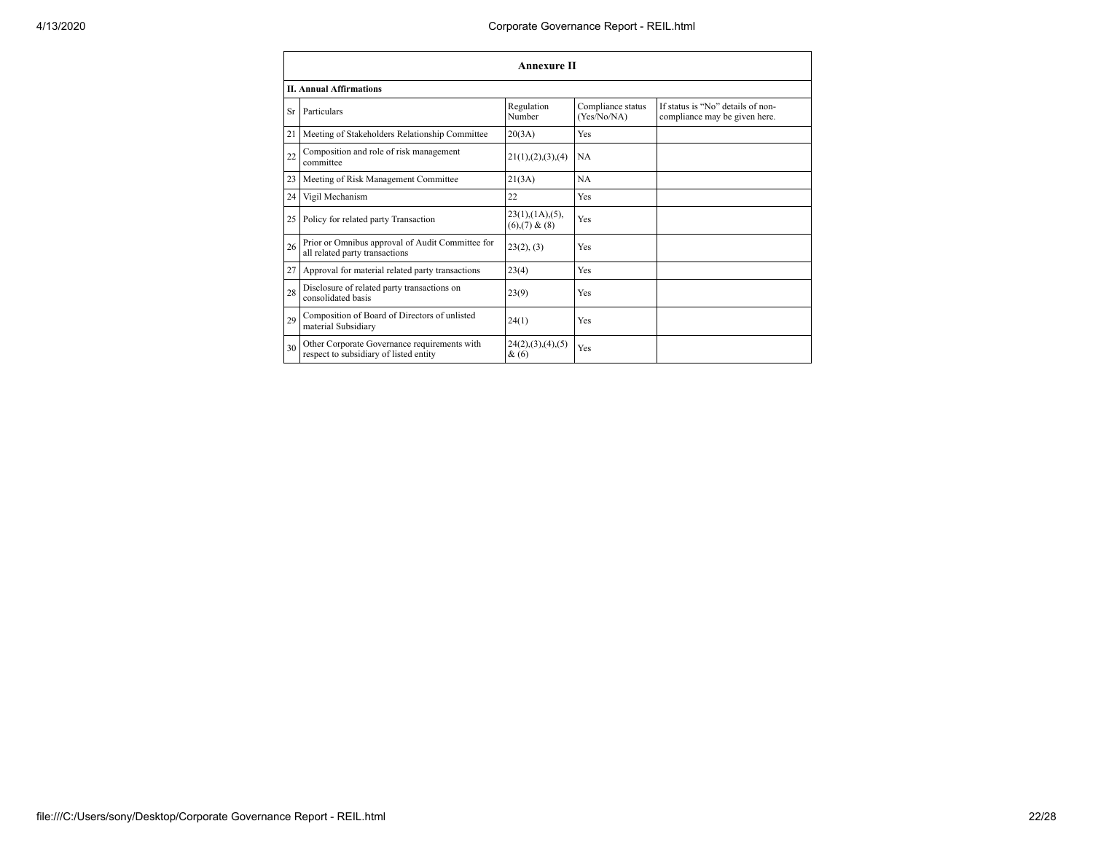|           | <b>Annexure II</b>                                                                     |                                                 |                                  |                                                                    |  |
|-----------|----------------------------------------------------------------------------------------|-------------------------------------------------|----------------------------------|--------------------------------------------------------------------|--|
|           | <b>II. Annual Affirmations</b>                                                         |                                                 |                                  |                                                                    |  |
| <b>Sr</b> | Particulars                                                                            | Regulation<br>Number                            | Compliance status<br>(Yes/No/NA) | If status is "No" details of non-<br>compliance may be given here. |  |
| 21        | Meeting of Stakeholders Relationship Committee                                         | 20(3A)                                          | Yes                              |                                                                    |  |
| 22        | Composition and role of risk management<br>committee                                   | 21(1), (2), (3), (4)                            | <b>NA</b>                        |                                                                    |  |
| 23        | Meeting of Risk Management Committee                                                   | 21(3A)                                          | <b>NA</b>                        |                                                                    |  |
| 24        | Vigil Mechanism                                                                        | 22                                              | Yes                              |                                                                    |  |
| 25        | Policy for related party Transaction                                                   | $23(1)$ , $(1A)$ , $(5)$ ,<br>$(6),(7)$ & $(8)$ | Yes                              |                                                                    |  |
| 26        | Prior or Omnibus approval of Audit Committee for<br>all related party transactions     | 23(2), (3)                                      | Yes                              |                                                                    |  |
|           | 27 Approval for material related party transactions                                    | 23(4)                                           | Yes                              |                                                                    |  |
| 28        | Disclosure of related party transactions on<br>consolidated basis                      | 23(9)                                           | Yes                              |                                                                    |  |
| 29        | Composition of Board of Directors of unlisted<br>material Subsidiary                   | 24(1)                                           | Yes                              |                                                                    |  |
| 30        | Other Corporate Governance requirements with<br>respect to subsidiary of listed entity | 24(2),(3),(4),(5)<br>$\&(6)$                    | Yes                              |                                                                    |  |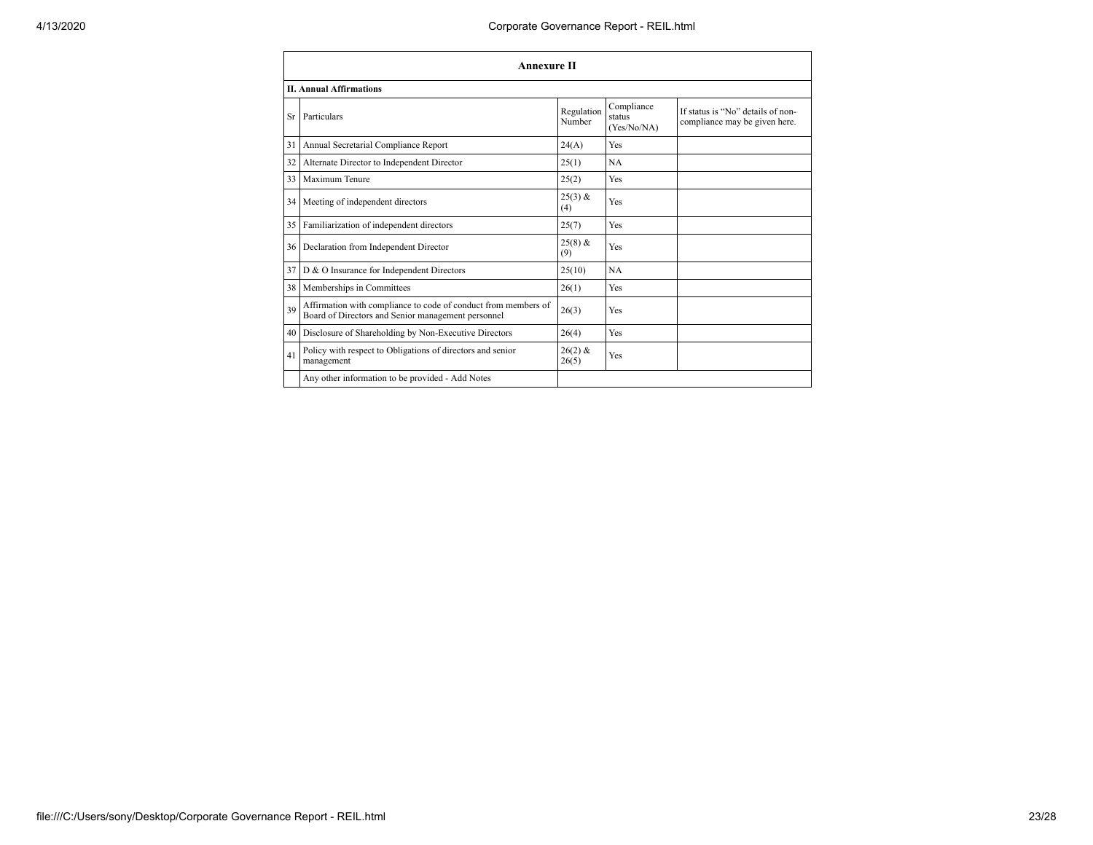|           | <b>Annexure II</b>                                                                                                   |                      |                                     |                                                                    |
|-----------|----------------------------------------------------------------------------------------------------------------------|----------------------|-------------------------------------|--------------------------------------------------------------------|
|           | <b>II. Annual Affirmations</b>                                                                                       |                      |                                     |                                                                    |
| <b>Sr</b> | Particulars                                                                                                          | Regulation<br>Number | Compliance<br>status<br>(Yes/No/NA) | If status is "No" details of non-<br>compliance may be given here. |
| 31        | Annual Secretarial Compliance Report                                                                                 | 24(A)                | Yes                                 |                                                                    |
| 32        | Alternate Director to Independent Director                                                                           | 25(1)                | NA                                  |                                                                    |
| 33        | Maximum Tenure                                                                                                       | 25(2)                | Yes                                 |                                                                    |
| 34        | Meeting of independent directors                                                                                     | $25(3)$ &<br>(4)     | Yes                                 |                                                                    |
| 35        | Familiarization of independent directors                                                                             | 25(7)                | Yes                                 |                                                                    |
| 36        | Declaration from Independent Director                                                                                | $25(8)$ &<br>(9)     | Yes                                 |                                                                    |
| 37        | D & O Insurance for Independent Directors                                                                            | 25(10)               | NA                                  |                                                                    |
| 38        | Memberships in Committees                                                                                            | 26(1)                | Yes                                 |                                                                    |
| 39        | Affirmation with compliance to code of conduct from members of<br>Board of Directors and Senior management personnel | 26(3)                | Yes                                 |                                                                    |
| 40        | Disclosure of Shareholding by Non-Executive Directors                                                                | 26(4)                | Yes                                 |                                                                    |
| 41        | Policy with respect to Obligations of directors and senior<br>management                                             | $26(2)$ &<br>26(5)   | Yes                                 |                                                                    |
|           | Any other information to be provided - Add Notes                                                                     |                      |                                     |                                                                    |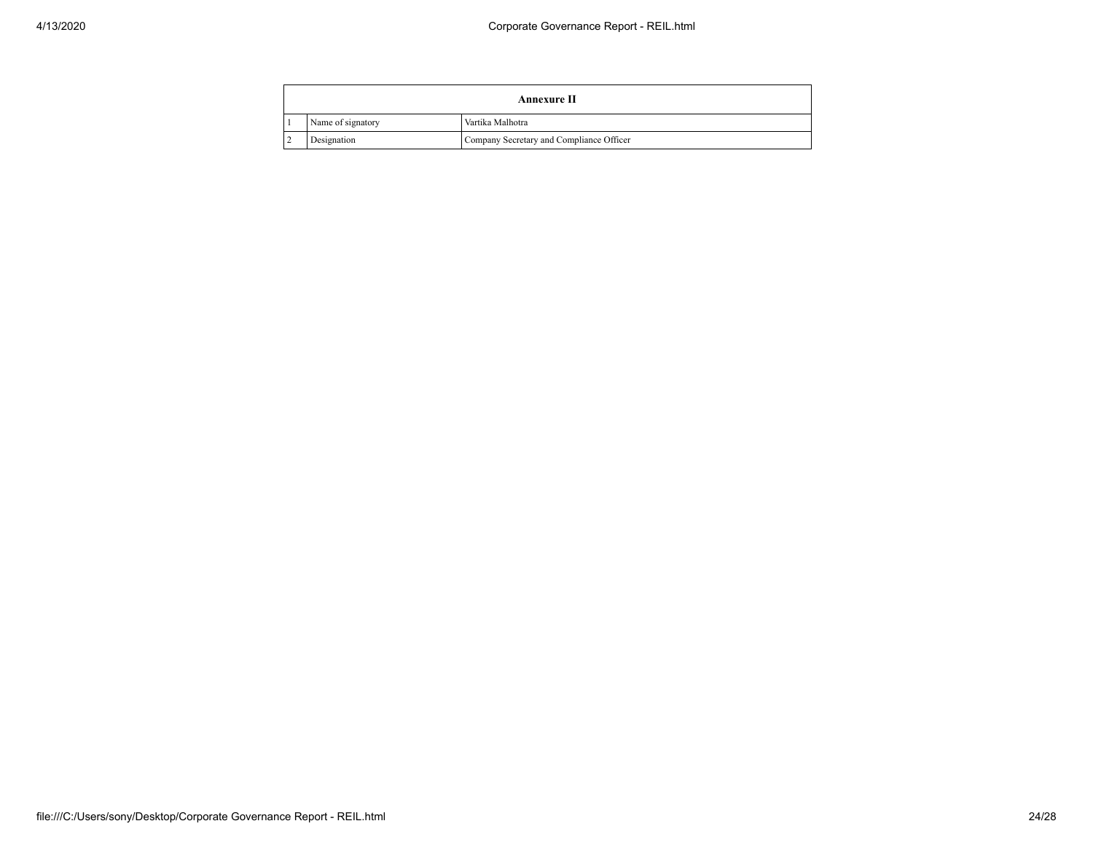| Annexure II                                             |                  |  |  |  |
|---------------------------------------------------------|------------------|--|--|--|
| Name of signatory                                       | Vartika Malhotra |  |  |  |
| Company Secretary and Compliance Officer<br>Designation |                  |  |  |  |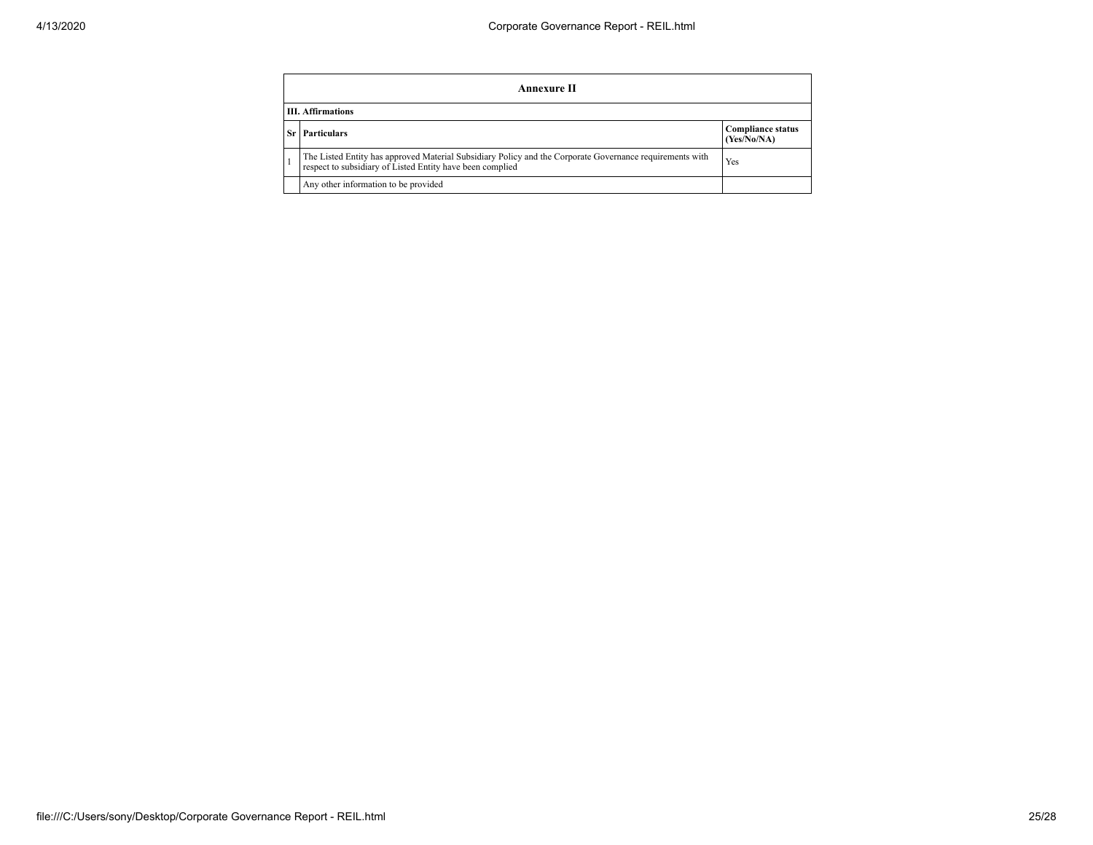|                          | Annexure II                                                                                                                                                           |                                         |  |  |  |
|--------------------------|-----------------------------------------------------------------------------------------------------------------------------------------------------------------------|-----------------------------------------|--|--|--|
| <b>III.</b> Affirmations |                                                                                                                                                                       |                                         |  |  |  |
| Sr l                     | <b>Particulars</b>                                                                                                                                                    | <b>Compliance status</b><br>(Yes/No/NA) |  |  |  |
|                          | The Listed Entity has approved Material Subsidiary Policy and the Corporate Governance requirements with<br>respect to subsidiary of Listed Entity have been complied | Yes                                     |  |  |  |
|                          | Any other information to be provided                                                                                                                                  |                                         |  |  |  |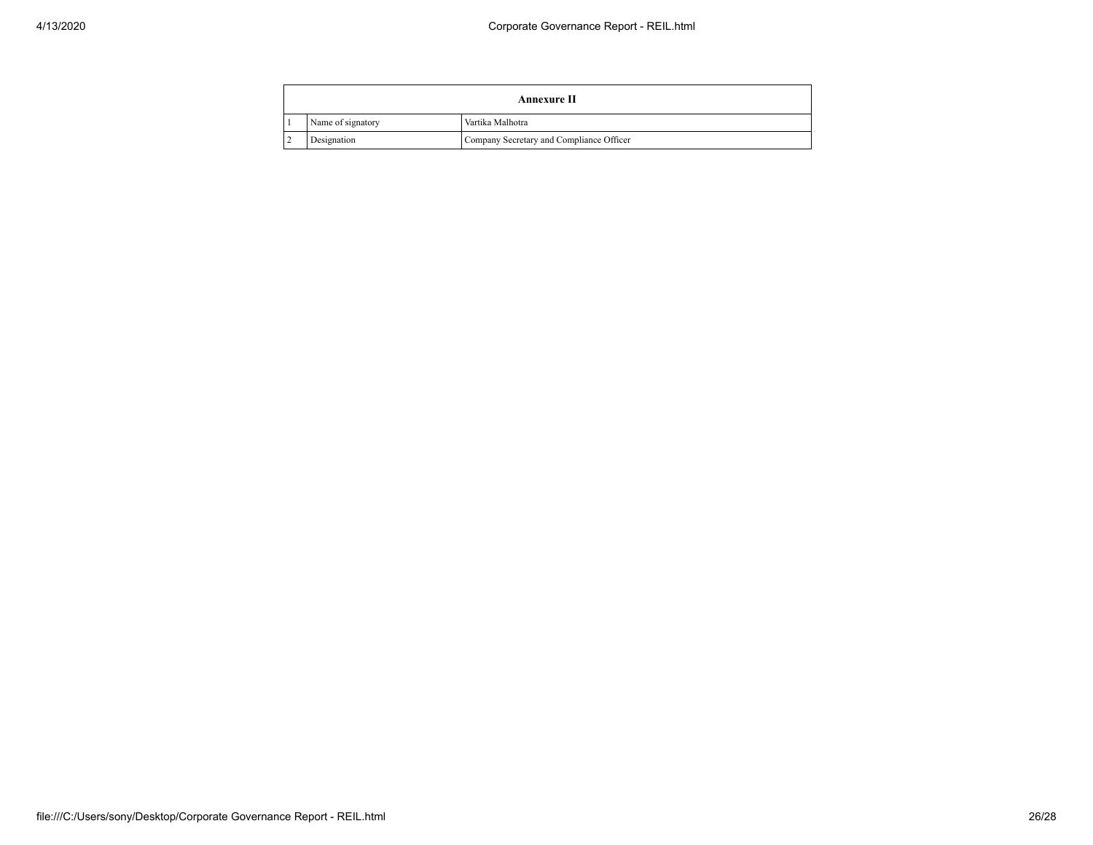| Annexure II       |                                          |  |
|-------------------|------------------------------------------|--|
| Name of signatory | Vartika Malhotra                         |  |
| Designation       | Company Secretary and Compliance Officer |  |